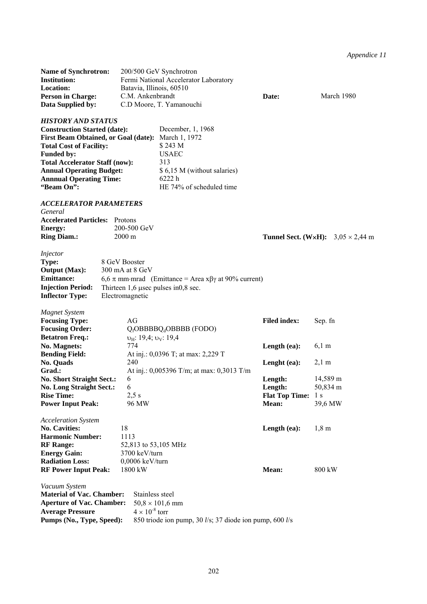*Appendice 11* 

| <b>Name of Synchrotron:</b><br><b>Institution:</b><br>Location:<br><b>Person in Charge:</b><br>Data Supplied by:                                                                                                                                                                                   | Batavia, Illinois, 60510<br>C.M. Ankenbrandt                                                  | 200/500 GeV Synchrotron<br>Fermi National Accelerator Laboratory<br>C.D Moore, T. Yamanouchi                                              | Date:                                     | March 1980                                      |
|----------------------------------------------------------------------------------------------------------------------------------------------------------------------------------------------------------------------------------------------------------------------------------------------------|-----------------------------------------------------------------------------------------------|-------------------------------------------------------------------------------------------------------------------------------------------|-------------------------------------------|-------------------------------------------------|
| <b>HISTORY AND STATUS</b><br><b>Construction Started (date):</b><br><b>First Beam Obtained, or Goal (date):</b><br><b>Total Cost of Facility:</b><br><b>Funded by:</b><br><b>Total Accelerator Staff (now):</b><br><b>Annual Operating Budget:</b><br><b>Annnual Operating Time:</b><br>"Beam On": |                                                                                               | December, 1, 1968<br>March 1, 1972<br>\$243 M<br><b>USAEC</b><br>313<br>\$ 6,15 M (without salaries)<br>6222h<br>HE 74% of scheduled time |                                           |                                                 |
| <b>ACCELERATOR PARAMETERS</b><br>General<br><b>Accelerated Particles:</b><br>Energy:<br><b>Ring Diam.:</b>                                                                                                                                                                                         | Protons<br>200-500 GeV<br>$2000 \text{ m}$                                                    |                                                                                                                                           |                                           | <b>Tunnel Sect. (W×H):</b> $3,05 \times 2,44$ m |
| Injector<br>Type:<br><b>Output (Max):</b><br><b>Emittance:</b><br><b>Injection Period:</b><br><b>Inflector Type:</b>                                                                                                                                                                               | 8 GeV Booster<br>300 mA at 8 GeV<br>Thirteen $1,6$ usec pulses in 0,8 sec.<br>Electromagnetic | 6,6 $\pi$ mm·mrad (Emittance = Area x $\beta\gamma$ at 90% current)                                                                       |                                           |                                                 |
| <b>Magnet System</b><br><b>Focusing Type:</b><br><b>Focusing Order:</b>                                                                                                                                                                                                                            | AG                                                                                            | $Q_f$ OBBBB $Q_d$ OBBBB (FODO)                                                                                                            | <b>Filed index:</b>                       | Sep. fn                                         |
| <b>Betatron Freq.:</b><br>No. Magnets:<br><b>Bending Field:</b><br>No. Quads                                                                                                                                                                                                                       | $v_H$ : 19,4; $v_V$ : 19,4<br>774<br>240                                                      | At inj.: 0,0396 T; at max: 2,229 T                                                                                                        | Length (ea):<br>Lenght (ea):              | $6,1 \text{ m}$<br>$2,1 \text{ m}$              |
| Grad.:<br><b>No. Short Straight Sect.:</b>                                                                                                                                                                                                                                                         | 6<br>6                                                                                        | At inj.: 0,005396 T/m; at max: 0,3013 T/m                                                                                                 | Length:                                   | 14,589 m                                        |
| <b>No. Long Straight Sect.:</b><br><b>Rise Time:</b><br><b>Power Input Peak:</b>                                                                                                                                                                                                                   | $2,5$ s<br>96 MW                                                                              |                                                                                                                                           | Length:<br><b>Flat Top Time:</b><br>Mean: | 50,834 m<br>l s<br>39,6 MW                      |
| <b>Acceleration System</b><br><b>No. Cavities:</b><br><b>Harmonic Number:</b><br><b>RF</b> Range:                                                                                                                                                                                                  | 18<br>1113<br>52,813 to 53,105 MHz                                                            |                                                                                                                                           | Length (ea):                              | $1,8 \text{ m}$                                 |
| <b>Energy Gain:</b><br><b>Radiation Loss:</b><br><b>RF Power Input Peak:</b>                                                                                                                                                                                                                       | 3700 keV/turn<br>$0,0006$ keV/turn<br>1800 kW                                                 |                                                                                                                                           | Mean:                                     | 800 kW                                          |
| Vacuum System<br><b>Material of Vac. Chamber:</b><br><b>Aperture of Vac. Chamber:</b><br><b>Average Pressure</b><br>Pumps (No., Type, Speed):                                                                                                                                                      | Stainless steel<br>$4 \times 10^{-8}$ torr                                                    | $50,8 \times 101,6$ mm<br>850 triode ion pump, 30 l/s; 37 diode ion pump, 600 l/s                                                         |                                           |                                                 |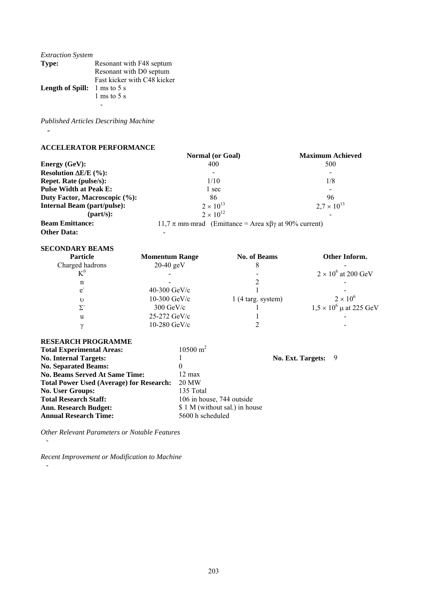| <b>Extraction System</b>                      |                             |
|-----------------------------------------------|-----------------------------|
| Type:                                         | Resonant with F48 septum    |
|                                               | Resonant with D0 septum     |
|                                               | Fast kicker with C48 kicker |
| <b>Length of Spill:</b> $1 \text{ ms}$ to 5 s |                             |
|                                               | 1 ms to 5 s                 |
|                                               |                             |

*Published Articles Describing Machine* 

-

# **ACCELERATOR PERFORMANCE**

|                                    | <b>Normal</b> (or Goal)                                          | <b>Maximum Achieved</b> |
|------------------------------------|------------------------------------------------------------------|-------------------------|
| <b>Energy (GeV):</b>               | 400                                                              | 500                     |
| Resolution $\Delta E/E$ (%):       |                                                                  |                         |
| <b>Repet. Rate (pulse/s):</b>      | 1/10                                                             | 1/8                     |
| <b>Pulse Width at Peak E:</b>      | 1 sec                                                            |                         |
| Duty Factor, Macroscopic (%):      | 86                                                               | 96                      |
| <b>Internal Beam (part/pulse):</b> | $2 \times 10^{13}$                                               | $2.7 \times 10^{13}$    |
| ${\rm (part/s)}$ :                 | $2 \times 10^{12}$                                               |                         |
| <b>Beam Emittance:</b>             | 11,7 $\pi$ mm·mrad (Emittance = Area x $\beta$ y at 90% current) |                         |
| <b>Other Data:</b>                 |                                                                  |                         |

| <b>SECONDARY BEAMS</b> |  |
|------------------------|--|
| <b>Particle</b>        |  |

| <b>Particle</b> | <b>Momentum Range</b>  | <b>No. of Beams</b>         | Other Inform.                  |
|-----------------|------------------------|-----------------------------|--------------------------------|
| Charged hadrons | $20-40$ geV            |                             |                                |
| $K^0$           |                        |                             | $2 \times 10^6$ at 200 GeV     |
| n               |                        |                             |                                |
| $\mathbf{e}$    | 40-300 $GeV/c$         |                             |                                |
| υ               | $10-300$ GeV/c         | $1(4 \text{ targ. system})$ | $2 \times 10^6$                |
|                 | $300 \text{ GeV/c}$    |                             | $1,5 \times 10^6$ µ at 225 GeV |
| u               | $25-272 \text{ GeV/c}$ |                             |                                |
|                 | $10-280$ GeV/c         |                             |                                |

# **RESEARCH PROGRAMME**

-

 *-* 

| <b>Total Experimental Areas:</b>                | $10500 \text{ m}^2$            |                     |  |
|-------------------------------------------------|--------------------------------|---------------------|--|
| <b>No. Internal Targets:</b>                    |                                | No. Ext. Targets: 9 |  |
| <b>No. Separated Beams:</b>                     | $\theta$                       |                     |  |
| <b>No. Beams Served At Same Time:</b>           | $12 \text{ max}$               |                     |  |
| <b>Total Power Used (Average) for Research:</b> | 20 MW                          |                     |  |
| <b>No. User Groups:</b>                         | 135 Total                      |                     |  |
| <b>Total Research Staff:</b>                    | 106 in house, 744 outside      |                     |  |
| <b>Ann. Research Budget:</b>                    | \$ 1 M (without sal.) in house |                     |  |
| <b>Annual Research Time:</b>                    | 5600 h scheduled               |                     |  |

*Other Relevant Parameters or Notable Features* 

*Recent Improvement or Modification to Machine*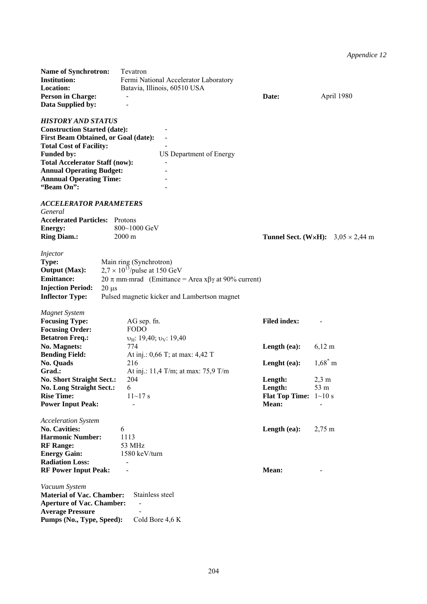# *Appendice 12*

| Name of Synchrotron:<br><b>Institution:</b><br>Location:<br><b>Person in Charge:</b><br>Data Supplied by:                                                                                                                                                                                          | Tevatron<br>Fermi National Accelerator Laboratory<br>Batavia, Illinois, 60510 USA                                                                                       | Date:                                                              | April 1980                                      |
|----------------------------------------------------------------------------------------------------------------------------------------------------------------------------------------------------------------------------------------------------------------------------------------------------|-------------------------------------------------------------------------------------------------------------------------------------------------------------------------|--------------------------------------------------------------------|-------------------------------------------------|
| <b>HISTORY AND STATUS</b><br><b>Construction Started (date):</b><br><b>First Beam Obtained, or Goal (date):</b><br><b>Total Cost of Facility:</b><br><b>Funded by:</b><br><b>Total Accelerator Staff (now):</b><br><b>Annual Operating Budget:</b><br><b>Annnual Operating Time:</b><br>"Beam On": | US Department of Energy                                                                                                                                                 |                                                                    |                                                 |
| <b>ACCELERATOR PARAMETERS</b><br>General<br><b>Accelerated Particles:</b> Protons<br><b>Energy:</b><br><b>Ring Diam.:</b>                                                                                                                                                                          | 800~1000 GeV<br>$2000 \text{ m}$                                                                                                                                        |                                                                    | <b>Tunnel Sect. (W×H):</b> $3,05 \times 2,44$ m |
| <i>Injector</i><br>Type:<br><b>Output (Max):</b><br><b>Emittance:</b><br><b>Injection Period:</b><br>$20 \mu s$<br><b>Inflector Type:</b>                                                                                                                                                          | Main ring (Synchrotron)<br>$2.7 \times 10^{13}$ /pulse at 150 GeV<br>20 π mm·mrad (Emittance = Area xβγ at 90% current)<br>Pulsed magnetic kicker and Lambertson magnet |                                                                    |                                                 |
| <b>Magnet System</b><br><b>Focusing Type:</b><br><b>Focusing Order:</b><br><b>Betatron Freq.:</b>                                                                                                                                                                                                  | AG sep. fn.<br><b>FODO</b><br>$v_{\text{H}}$ : 19,40; $v_{\text{V}}$ : 19,40                                                                                            | <b>Filed index:</b>                                                |                                                 |
| No. Magnets:<br><b>Bending Field:</b><br>No. Quads                                                                                                                                                                                                                                                 | 774<br>At inj.: 0,66 T; at max: 4,42 T<br>216                                                                                                                           | Length (ea):<br>Lenght (ea):                                       | $6,12 \; \rm{m}$<br>$1,68^*$ m                  |
| Grad.:<br><b>No. Short Straight Sect.:</b><br>No. Long Straight Sect.:<br><b>Rise Time:</b><br><b>Power Input Peak:</b>                                                                                                                                                                            | At inj.: 11,4 T/m; at max: 75,9 T/m<br>204<br>6<br>$11 - 17$ s<br>$\overline{a}$                                                                                        | Length:<br>Length:<br><b>Flat Top Time:</b> $1 \sim 10$ s<br>Mean: | $2.3 \text{ m}$<br>53 m                         |
| <b>Acceleration System</b><br><b>No. Cavities:</b><br><b>Harmonic Number:</b><br><b>RF</b> Range:<br><b>Energy Gain:</b><br><b>Radiation Loss:</b><br><b>RF Power Input Peak:</b>                                                                                                                  | 6<br>1113<br>53 MHz<br>1580 keV/turn                                                                                                                                    | Length (ea):<br>Mean:                                              | $2,75 \text{ m}$                                |
| Vacuum System<br><b>Material of Vac. Chamber:</b><br><b>Aperture of Vac. Chamber:</b><br><b>Average Pressure</b><br>Pumps (No., Type, Speed):                                                                                                                                                      | Stainless steel<br>Cold Bore 4,6 K                                                                                                                                      |                                                                    |                                                 |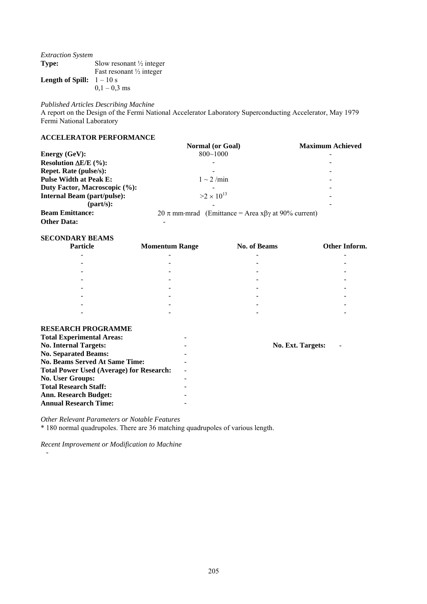| <b>Extraction System</b>           |                                     |
|------------------------------------|-------------------------------------|
| Type:                              | Slow resonant $\frac{1}{2}$ integer |
|                                    | Fast resonant $\frac{1}{2}$ integer |
| <b>Length of Spill:</b> $1 - 10$ s |                                     |
|                                    | $0.1 - 0.3$ ms                      |

*Published Articles Describing Machine* 

A report on the Design of the Fermi National Accelerator Laboratory Superconducting Accelerator, May 1979 Fermi National Laboratory

# **ACCELERATOR PERFORMANCE**

|                                    | <b>Normal</b> (or Goal)                                            | <b>Maximum Achieved</b> |
|------------------------------------|--------------------------------------------------------------------|-------------------------|
| Energy $(GeV)$ :                   | $800 - 1000$                                                       |                         |
| Resolution $\Delta E/E$ (%):       |                                                                    |                         |
| <b>Repet. Rate (pulse/s):</b>      |                                                                    |                         |
| <b>Pulse Width at Peak E:</b>      | $1 \sim 2$ /min                                                    | -                       |
| Duty Factor, Macroscopic (%):      |                                                                    |                         |
| <b>Internal Beam (part/pulse):</b> | $>2 \times 10^{13}$                                                |                         |
| ${\rm (part/s)}$ :                 |                                                                    |                         |
| <b>Beam Emittance:</b>             | 20 $\pi$ mm·mrad (Emittance = Area x $\beta\gamma$ at 90% current) |                         |
| <b>Other Data:</b>                 |                                                                    |                         |

#### **SECONDARY BEAMS**

| Particle                 | <b>Momentum Range</b>    | No. of Beams             | Other Inform.            |
|--------------------------|--------------------------|--------------------------|--------------------------|
| -                        | $\overline{\phantom{a}}$ |                          |                          |
| -                        | $\overline{\phantom{a}}$ | $\overline{\phantom{0}}$ |                          |
|                          | $\,$                     | $\overline{\phantom{0}}$ |                          |
| $\overline{\phantom{0}}$ | $\,$                     | -                        | -                        |
| $\overline{\phantom{0}}$ | $\,$                     | ۰                        |                          |
| $\overline{\phantom{0}}$ | $\overline{\phantom{a}}$ | ۰                        |                          |
| $\overline{\phantom{0}}$ | $\,$                     | -                        | $\overline{\phantom{0}}$ |
| $\overline{\phantom{0}}$ | $\,$                     | $\overline{\phantom{a}}$ | $\,$                     |

# **RESEARCH PROGRAMME**

 *-* 

| <b>Total Experimental Areas:</b>                | -                        |                   |  |
|-------------------------------------------------|--------------------------|-------------------|--|
| <b>No. Internal Targets:</b>                    | $\overline{\phantom{0}}$ | No. Ext. Targets: |  |
| <b>No. Separated Beams:</b>                     | $\qquad \qquad$          |                   |  |
| <b>No. Beams Served At Same Time:</b>           | $\qquad \qquad$          |                   |  |
| <b>Total Power Used (Average) for Research:</b> | $\overline{\phantom{a}}$ |                   |  |
| <b>No. User Groups:</b>                         | -                        |                   |  |
| <b>Total Research Staff:</b>                    | -                        |                   |  |
| <b>Ann. Research Budget:</b>                    | -                        |                   |  |
| <b>Annual Research Time:</b>                    | -                        |                   |  |

*Other Relevant Parameters or Notable Features* 

\* 180 normal quadrupoles. There are 36 matching quadrupoles of various length.

*Recent Improvement or Modification to Machine*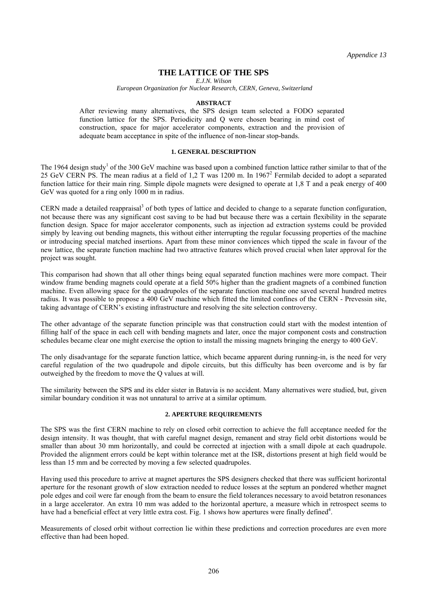*Appendice 13* 

# **THE LATTICE OF THE SPS**

*E.J.N. Wilson* 

 *European Organization for Nuclear Research, CERN, Geneva, Switzerland* 

#### **ABSTRACT**

After reviewing many alternatives, the SPS design team selected a FODO separated function lattice for the SPS. Periodicity and Q were chosen bearing in mind cost of construction, space for major accelerator components, extraction and the provision of adequate beam acceptance in spite of the influence of non-linear stop-bands.

### **1. GENERAL DESCRIPTION**

The 1964 design study<sup>1</sup> of the 300 GeV machine was based upon a combined function lattice rather similar to that of the 25 GeV CERN PS. The mean radius at a field of 1,2 T was 1200 m. In 1967<sup>2</sup> Fermilab decided to adopt a separated function lattice for their main ring. Simple dipole magnets were designed to operate at 1,8 T and a peak energy of 400 GeV was quoted for a ring only 1000 m in radius.

CERN made a detailed reappraisal<sup>3</sup> of both types of lattice and decided to change to a separate function configuration, not because there was any significant cost saving to be had but because there was a certain flexibility in the separate function design. Space for major accelerator components, such as injection ad extraction systems could be provided simply by leaving out bending magnets, this without either interrupting the regular focussing properties of the machine or introducing special matched insertions. Apart from these minor conviences which tipped the scale in favour of the new lattice, the separate function machine had two attractive features which proved crucial when later approval for the project was sought.

This comparison had shown that all other things being equal separated function machines were more compact. Their window frame bending magnets could operate at a field 50% higher than the gradient magnets of a combined function machine. Even allowing space for the quadrupoles of the separate function machine one saved several hundred metres radius. It was possible to propose a 400 GeV machine which fitted the limited confines of the CERN - Prevessin site, taking advantage of CERN's existing infrastructure and resolving the site selection controversy.

The other advantage of the separate function principle was that construction could start with the modest intention of filling half of the space in each cell with bending magnets and later, once the major component costs and construction schedules became clear one might exercise the option to install the missing magnets bringing the energy to 400 GeV.

The only disadvantage for the separate function lattice, which became apparent during running-in, is the need for very careful regulation of the two quadrupole and dipole circuits, but this difficulty has been overcome and is by far outweighed by the freedom to move the Q values at will.

The similarity between the SPS and its elder sister in Batavia is no accident. Many alternatives were studied, but, given similar boundary condition it was not unnatural to arrive at a similar optimum.

### **2. APERTURE REQUIREMENTS**

The SPS was the first CERN machine to rely on closed orbit correction to achieve the full acceptance needed for the design intensity. It was thought, that with careful magnet design, remanent and stray field orbit distortions would be smaller than about 30 mm horizontally, and could be corrected at injection with a small dipole at each quadrupole. Provided the alignment errors could be kept within tolerance met at the ISR, distortions present at high field would be less than 15 mm and be corrected by moving a few selected quadrupoles.

Having used this procedure to arrive at magnet apertures the SPS designers checked that there was sufficient horizontal aperture for the resonant growth of slow extraction needed to reduce losses at the septum an pondered whether magnet pole edges and coil were far enough from the beam to ensure the field tolerances necessary to avoid betatron resonances in a large accelerator. An extra 10 mm was added to the horizontal aperture, a measure which in retrospect seems to have had a beneficial effect at very little extra cost. Fig. 1 shows how apertures were finally defined<sup>4</sup>.

Measurements of closed orbit without correction lie within these predictions and correction procedures are even more effective than had been hoped.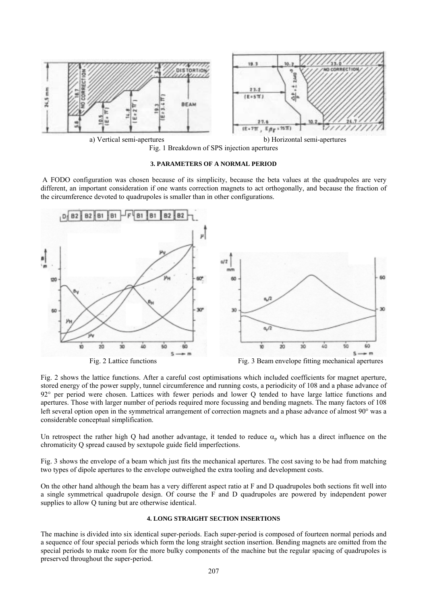



#### **3. PARAMETERS OF A NORMAL PERIOD**

 A FODO configuration was chosen because of its simplicity, because the beta values at the quadrupoles are very different, an important consideration if one wants correction magnets to act orthogonally, and because the fraction of the circumference devoted to quadrupoles is smaller than in other configurations.



Fig. 2 shows the lattice functions. After a careful cost optimisations which included coefficients for magnet aperture, stored energy of the power supply, tunnel circumference and running costs, a periodicity of 108 and a phase advance of 92° per period were chosen. Lattices with fewer periods and lower Q tended to have large lattice functions and apertures. Those with larger number of periods required more focussing and bending magnets. The many factors of 108 left several option open in the symmetrical arrangement of correction magnets and a phase advance of almost 90° was a considerable conceptual simplification.

Un retrospect the rather high Q had another advantage, it tended to reduce  $\alpha_n$  which has a direct influence on the chromaticity Q spread caused by sextupole guide field imperfections.

Fig. 3 shows the envelope of a beam which just fits the mechanical apertures. The cost saving to be had from matching two types of dipole apertures to the envelope outweighed the extra tooling and development costs.

On the other hand although the beam has a very different aspect ratio at F and D quadrupoles both sections fit well into a single symmetrical quadrupole design. Of course the F and D quadrupoles are powered by independent power supplies to allow Q tuning but are otherwise identical.

#### **4. LONG STRAIGHT SECTION INSERTIONS**

The machine is divided into six identical super-periods. Each super-period is composed of fourteen normal periods and a sequence of four special periods which form the long straight section insertion. Bending magnets are omitted from the special periods to make room for the more bulky components of the machine but the regular spacing of quadrupoles is preserved throughout the super-period.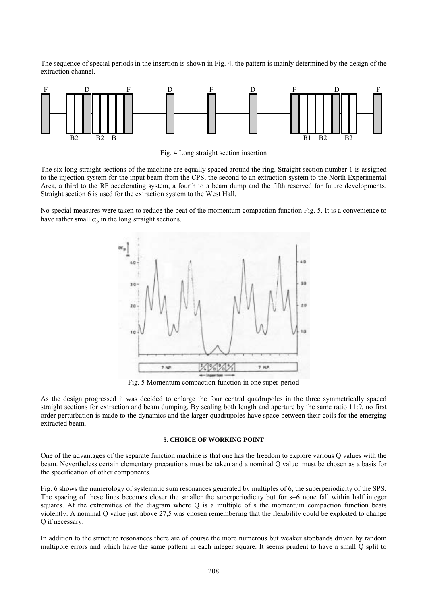The sequence of special periods in the insertion is shown in Fig. 4. the pattern is mainly determined by the design of the extraction channel.



Fig. 4 Long straight section insertion

The six long straight sections of the machine are equally spaced around the ring. Straight section number 1 is assigned to the injection system for the input beam from the CPS, the second to an extraction system to the North Experimental Area, a third to the RF accelerating system, a fourth to a beam dump and the fifth reserved for future developments. Straight section 6 is used for the extraction system to the West Hall.

No special measures were taken to reduce the beat of the momentum compaction function Fig. 5. It is a convenience to have rather small  $\alpha_p$  in the long straight sections.



Fig. 5 Momentum compaction function in one super-period

As the design progressed it was decided to enlarge the four central quadrupoles in the three symmetrically spaced straight sections for extraction and beam dumping. By scaling both length and aperture by the same ratio 11:9, no first order perturbation is made to the dynamics and the larger quadrupoles have space between their coils for the emerging extracted beam.

### **5. CHOICE OF WORKING POINT**

One of the advantages of the separate function machine is that one has the freedom to explore various Q values with the beam. Nevertheless certain elementary precautions must be taken and a nominal Q value must be chosen as a basis for the specification of other components.

Fig. 6 shows the numerology of systematic sum resonances generated by multiples of 6, the superperiodicity of the SPS. The spacing of these lines becomes closer the smaller the superperiodicity but for s=6 none fall within half integer squares. At the extremities of the diagram where Q is a multiple of s the momentum compaction function beats violently. A nominal Q value just above 27,5 was chosen remembering that the flexibility could be exploited to change Q if necessary.

In addition to the structure resonances there are of course the more numerous but weaker stopbands driven by random multipole errors and which have the same pattern in each integer square. It seems prudent to have a small Q split to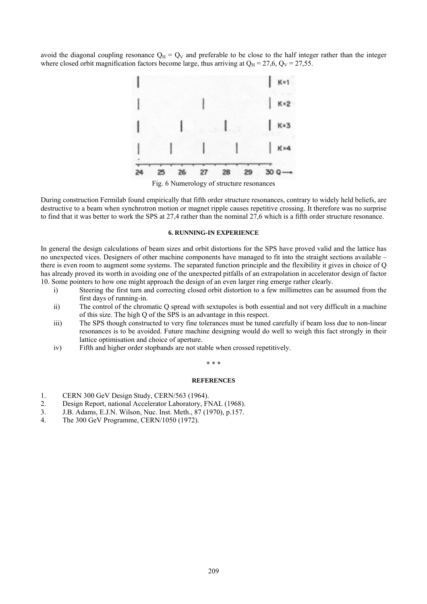avoid the diagonal coupling resonance  $Q_H = Q_V$  and preferable to be close to the half integer rather than the integer where closed orbit magnification factors become large, thus arriving at  $Q_H = 27.6$ ,  $Q_V = 27.55$ .



Fig. 6 Numerology of structure resonances

During construction Fermilab found empirically that fifth order structure resonances, contrary to widely held beliefs, are destructive to a beam when synchrotron motion or magnet ripple causes repetitive crossing. It therefore was no surprise to find that it was better to work the SPS at 27,4 rather than the nominal 27,6 which is a fifth order structure resonance.

#### **6. RUNNING-IN EXPERIENCE**

In general the design calculations of beam sizes and orbit distortions for the SPS have proved valid and the lattice has no unexpected vices. Designers of other machine components have managed to fit into the straight sections available – there is even room to augment some systems. The separated function principle and the flexibility it gives in choice of Q has already proved its worth in avoiding one of the unexpected pitfalls of an extrapolation in accelerator design of factor 10. Some pointers to how one might approach the design of an even larger ring emerge rather clearly.

- i) Steering the first turn and correcting closed orbit distortion to a few millimetres can be assumed from the first days of running-in.
- ii) The control of the chromatic Q spread with sextupoles is both essential and not very difficult in a machine of this size. The high Q of the SPS is an advantage in this respect.
- iii) The SPS though constructed to very fine tolerances must be tuned carefully if beam loss due to non-linear resonances is to be avoided. Future machine designing would do well to weigh this fact strongly in their lattice optimisation and choice of aperture.
- iv) Fifth and higher order stopbands are not stable when crossed repetitively.

#### \* \* \*

#### **REFERENCES**

- 1. CERN 300 GeV Design Study, CERN/563 (1964).
- 2. Design Report, national Accelerator Laboratory, FNAL (1968).
- 3. J.B. Adams, E.J.N. Wilson, Nuc. Inst. Meth., 87 (1970), p.157.
- 4. The 300 GeV Programme, CERN/1050 (1972).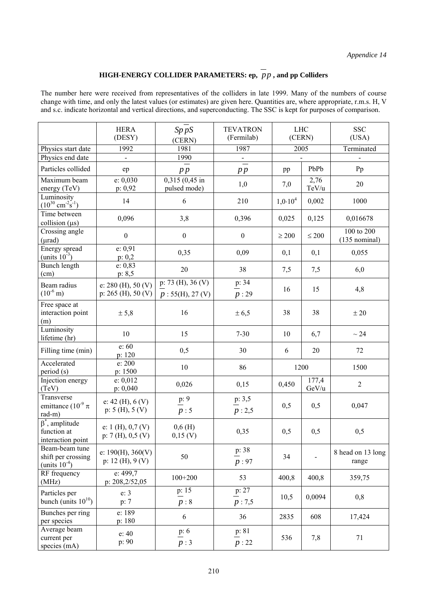# **HIGH-ENERGY COLLIDER PARAMETERS: ep,** *pp* **, and pp Colliders**

The number here were received from representatives of the colliders in late 1999. Many of the numbers of course change with time, and only the latest values (or estimates) are given here. Quantities are, where appropriate, r.m.s. H, V and s.c. indicate horizontal and vertical directions, and superconducting. The SSC is kept for purposes of comparison.

|                                                             | <b>HERA</b><br>(DESY)                        | $Sp\,pS$<br>(CERN)                   | <b>TEVATRON</b><br>(Fermilab) |                     | $LHC$<br>(CERN) | <b>SSC</b><br>(USA)           |
|-------------------------------------------------------------|----------------------------------------------|--------------------------------------|-------------------------------|---------------------|-----------------|-------------------------------|
| Physics start date                                          | 1992                                         | 1981                                 | 1987                          | 2005                |                 | Terminated                    |
| Physics end date                                            | $\blacksquare$                               | 1990                                 | $\doteq$                      |                     |                 |                               |
| Particles collided                                          | ep                                           | p p                                  | p p                           | pp                  | PbPb            | Pp                            |
| Maximum beam<br>energy (TeV)                                | e: 0,030<br>p: 0,92                          | $0,315(0,45)$ in<br>pulsed mode)     | 1,0                           | 7,0                 | 2,76<br>TeV/u   | 20                            |
| Luminosity<br>$(10^{30}$ cm <sup>-2</sup> s <sup>-1</sup> ) | 14                                           | 6                                    | 210                           | 1,0.10 <sup>4</sup> | 0,002           | 1000                          |
| Time between<br>collision $(\mu s)$                         | 0,096                                        | 3,8                                  | 0,396                         | 0,025               | 0,125           | 0,016678                      |
| Crossing angle<br>$(\mu rad)$                               | $\boldsymbol{0}$                             | $\boldsymbol{0}$                     | $\boldsymbol{0}$              | $\geq 200$          | $\leq 200$      | 100 to 200<br>$(135$ nominal) |
| Energy spread<br>(units $10^{-3}$ )                         | e: 0.91<br>p: 0,2                            | 0,35                                 | 0,09                          | 0,1                 | 0,1             | 0,055                         |
| Bunch length<br>(cm)                                        | e: 0,83<br>p: 8, 5                           | 20                                   | 38                            | 7,5                 | 7,5             | 6,0                           |
| Beam radius<br>$(10^{-6} \text{ m})$                        | e: 280 (H), 50 (V)<br>p: $265$ (H), $50$ (V) | p: 73 (H), 36 (V)<br>p: 55(H), 27(V) | p: 34<br>p: 29                | 16                  | 15              | 4,8                           |
| Free space at<br>interaction point<br>(m)                   | ± 5,8                                        | 16                                   | ± 6,5                         | 38                  | 38              | ± 20                          |
| Luminosity<br>lifetime (hr)                                 | 10                                           | 15                                   | $7 - 30$                      | 10                  | 6,7             | $\sim 24$                     |
| Filling time (min)                                          | e: 60<br>p: 120                              | 0, 5                                 | 30                            | 6                   | 20              | 72                            |
| Accelerated<br>period (s)                                   | e: 200<br>p: 1500                            | 10                                   | 86                            |                     | 1200            | 1500                          |
| Injection energy<br>(TeV)                                   | e: 0,012<br>p: 0,040                         | 0,026                                | 0,15                          | 0,450               | 177,4<br>GeV/u  | $\overline{2}$                |
| Transverse<br>emittance $(10^{-9} \pi)$<br>rad-m)           | e: 42 (H), $6(V)$<br>p: 5(H), 5(V)           | p: 9<br>p:5                          | p: 3, 5<br>p:2,5              | 0,5                 | 0,5             | 0,047                         |
| $\beta^*$ , amplitude<br>function at<br>interaction point   | e: $1(H), 0,7(V)$<br>p: 7(H), 0, 5(V)        | $0,6$ (H)<br>0,15 (V)                | 0,35                          | 0,5                 | 0,5             | 0,5                           |
| Beam-beam tune<br>shift per crossing<br>(units $10^{-4}$ )  | e: $190(H)$ , $360(V)$<br>p: 12 (H), $9 (V)$ | 50                                   | p: 38<br>p: 97                | 34                  |                 | 8 head on 13 long<br>range    |
| RF frequency<br>(MHz)                                       | e: 499,7<br>p: 208,2/52,05                   | $100 + 200$                          | 53                            | 400,8               | 400,8           | 359,75                        |
| Particles per<br>bunch (units $10^{10}$ )                   | e: 3<br>p: 7                                 | p: 15<br>p:8                         | p: 27<br>p: 7,5               | 10,5                | 0,0094          | 0,8                           |
| Bunches per ring<br>per species                             | e: 189<br>p: 180                             | 6                                    | 36                            | 2835                | 608             | 17,424                        |
| Average beam<br>current per<br>species (mA)                 | e: 40<br>p: 90                               | p: 6<br>p:3                          | p: 81<br>p:22                 | 536                 | 7,8             | 71                            |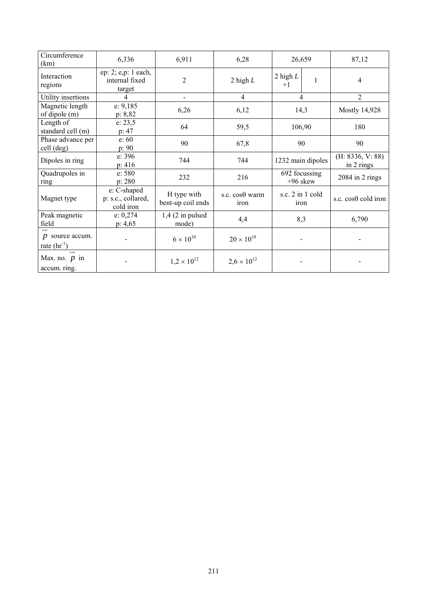| Circumference<br>(km)                                   | 6,336                                           | 6,911                            | 6,28                   | 26,659                      | 87,12                          |
|---------------------------------------------------------|-------------------------------------------------|----------------------------------|------------------------|-----------------------------|--------------------------------|
| Interaction<br>regions                                  | ep: 2; e,p: 1 each,<br>internal fixed<br>target | $\overline{c}$                   | 2 high $L$             | 2 high $L$<br>$+1$          | 4                              |
| Utility insertions                                      | $\overline{4}$                                  |                                  | $\overline{4}$         | 4                           | $\overline{2}$                 |
| Magnetic length<br>of dipole (m)                        | e: 9,185<br>p: 8,82                             | 6,26                             | 6,12                   | 14,3                        | <b>Mostly 14,928</b>           |
| Length of<br>standard cell (m)                          | e: 23, 5<br>p: 47                               | 64                               | 59,5                   | 106,90                      | 180                            |
| Phase advance per<br>cell (deg)                         | e: 60<br>p: 90                                  | 90                               | 67,8                   | 90                          | 90                             |
| Dipoles in ring                                         | e: 396<br>p: 416                                | 744                              | 744                    | 1232 main dipoles           | (H: 8336, V: 88)<br>in 2 rings |
| Quadrupoles in<br>ring                                  | e: 580<br>p: 280                                | 232                              | 216                    | 692 focussing<br>$+96$ skew | $2084$ in 2 rings              |
| Magnet type                                             | e: C-shaped<br>p: s.c., collared,<br>cold iron  | H type with<br>bent-up coil ends | s.c. cosθ warm<br>iron | s.c. $2$ in 1 cold<br>iron  | s.c. cosθ cold iron            |
| Peak magnetic<br>field                                  | e: 0,274<br>p: 4, 65                            | $1,4$ (2 in pulsed<br>mode)      | 4,4                    | 8,3                         | 6,790                          |
| $p$ source accum.<br>rate $\left(\text{hr}^{-1}\right)$ |                                                 | $6 \times 10^{10}$               | $20 \times 10^{10}$    |                             |                                |
| Max. no. $p$ in<br>accum. ring.                         |                                                 | $1,2 \times 10^{12}$             | $2,6 \times 10^{12}$   |                             |                                |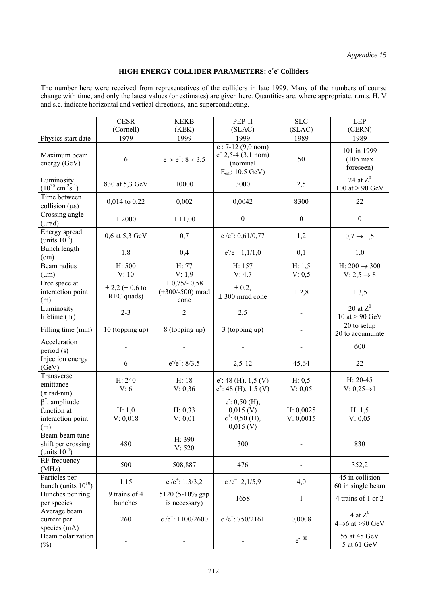# **HIGH-ENERGY COLLIDER PARAMETERS: e<sup>+</sup>e Colliders**

The number here were received from representatives of the colliders in late 1999. Many of the numbers of course change with time, and only the latest values (or estimates) are given here. Quantities are, where appropriate, r.m.s. H, V and s.c. indicate horizontal and vertical directions, and superconducting.

|                                                                  | <b>CESR</b><br>(Cornell)               | <b>KEKB</b>                                | PEP-II                                                                                       | <b>SLC</b>             | <b>LEP</b>                                          |
|------------------------------------------------------------------|----------------------------------------|--------------------------------------------|----------------------------------------------------------------------------------------------|------------------------|-----------------------------------------------------|
| Physics start date                                               | 1979                                   | (KEK)<br>1999                              | (SLAC)<br>1999                                                                               | (SLAC)<br>1989         | (CERN)<br>1989                                      |
| Maximum beam<br>energy (GeV)                                     | 6                                      | $e^{-} \times e^{+}$ : 8 $\times$ 3.5      | $e$ : 7-12 (9,0 nom)<br>$e^{\pm}$ 2,5-4 (3,1 nom)<br>(nominal<br>$E_{cm}: 10, 5 \text{ GeV}$ | 50                     | 101 in 1999<br>$(105 \text{ max})$<br>foreseen)     |
| Luminosity<br>$(10^{30} \text{ cm}^{-2} \text{s}^{-1})$          | 830 at 5,3 GeV                         | 10000                                      | 3000                                                                                         | 2,5                    | 24 at $Z^0$<br>100 at $> 90 \text{ GeV}$            |
| Time between<br>collision $(\mu s)$                              | 0,014 to 0,22                          | 0,002                                      | 0,0042                                                                                       | 8300                   | 22                                                  |
| Crossing angle<br>$(\mu rad)$                                    | $\pm\,2000$                            | ± 11,00                                    | $\boldsymbol{0}$                                                                             | $\boldsymbol{0}$       | $\boldsymbol{0}$                                    |
| Energy spread<br>(units $10^{-3}$ )                              | 0,6 at 5,3 GeV                         | 0,7                                        | $e^{-}/e^{+}$ : 0,61/0,77                                                                    | 1,2                    | $0,7 \to 1,5$                                       |
| Bunch length<br>(cm)                                             | 1,8                                    | 0,4                                        | $e^{-}/e^{+}$ : 1,1/1,0                                                                      | 0,1                    | 1,0                                                 |
| Beam radius<br>$(\mu m)$                                         | H: 500<br>V: 10                        | H: 77<br>V: 1,9                            | H: 157<br>V: 4,7                                                                             | H: 1, 5<br>V: 0, 5     | H: $200 \rightarrow 300$<br>$V: 2, 5 \rightarrow 8$ |
| Free space at<br>interaction point<br>(m)                        | $\pm 2.2$ ( $\pm 0.6$ to<br>REC quads) | $+0,75/0,58$<br>$(+300/-500)$ mrad<br>cone | $\pm 0,2,$<br>$\pm$ 300 mrad cone                                                            | ± 2,8                  | ± 3,5                                               |
| Luminosity<br>lifetime (hr)                                      | $2 - 3$                                | $\overline{2}$                             | 2,5                                                                                          |                        | 20 at $Z^0$<br>10 at $> 90$ GeV                     |
| Filling time (min)                                               | 10 (topping up)                        | 8 (topping up)                             | 3 (topping up)                                                                               |                        | 20 to setup<br>20 to accumulate                     |
| Acceleration<br>period (s)                                       |                                        |                                            |                                                                                              |                        | 600                                                 |
| Injection energy<br>(GeV)                                        | 6                                      | $e^{-}/e^{+}$ : 8/3,5                      | $2,5-12$                                                                                     | 45,64                  | 22                                                  |
| Transverse<br>emittance<br>$(\pi \text{ rad-nm})$                | H: 240<br>V: 6                         | H: 18<br>V: 0,36                           | $e$ : 48 (H), 1,5 (V)<br>$e^{\pm}$ : 48 (H), 1,5 (V)                                         | H: 0, 5<br>V: 0,05     | $H: 20-45$<br>$V: 0,25 \rightarrow 1$               |
| $\beta^*$ , amplitude<br>function at<br>interaction point<br>(m) | H: 1,0<br>V: 0,018                     | H: 0,33<br>V: 0,01                         | $e$ : 0,50 (H),<br>$0,015$ (V)<br>$e^{\pm}$ : 0,50 (H),<br>$0,015$ (V)                       | H: 0,0025<br>V: 0,0015 | H: 1, 5<br>V: 0,05                                  |
| Beam-beam tune<br>shift per crossing<br>(units $10^{-4}$ )       | 480                                    | H: 390<br>V: 520                           | 300                                                                                          |                        | 830                                                 |
| RF frequency<br>(MHz)                                            | 500                                    | 508,887                                    | 476                                                                                          |                        | 352,2                                               |
| Particles per<br>bunch (units $10^{10}$ )                        | 1,15                                   | $e^{-}/e^{+}$ : 1,3/3,2                    | $e^{-}/e^{+}$ : 2,1/5,9                                                                      | 4,0                    | 45 in collision<br>60 in single beam                |
| Bunches per ring<br>per species                                  | 9 trains of 4<br>bunches               | 5120 (5-10% gap<br>is necessary)           | 1658                                                                                         | $\mathbf{1}$           | 4 trains of 1 or 2                                  |
| Average beam<br>current per<br>species (mA)                      | 260                                    | $e^{-}/e^{+}$ : 1100/2600                  | $e^{-}/e^{+}$ : 750/2161                                                                     | 0,0008                 | 4 at $Z^0$<br>$4\rightarrow 6$ at >90 GeV           |
| Beam polarization<br>$(\%)$                                      |                                        |                                            |                                                                                              | $e^{-0.80}$            | 55 at 45 GeV<br>5 at 61 GeV                         |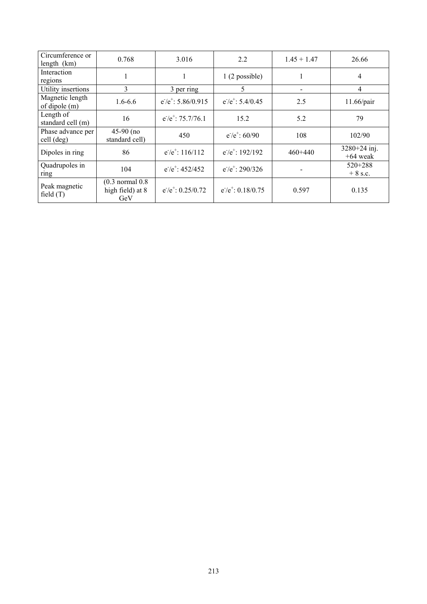| Circumference or<br>length $(km)$  | 0.768                                          | 3.016                      | 2.2                       | $1.45 + 1.47$ | 26.66                        |
|------------------------------------|------------------------------------------------|----------------------------|---------------------------|---------------|------------------------------|
| Interaction<br>regions             |                                                |                            | 1(2 possible)             |               | 4                            |
| Utility insertions                 | 3                                              | 3 per ring                 | 5                         | -             | 4                            |
| Magnetic length<br>of dipole $(m)$ | $1.6 - 6.6$                                    | $e^{-}/e^{+}$ : 5.86/0.915 | $e^{-}/e^{+}$ : 5.4/0.45  | 2.5           | 11.66/pair                   |
| Length of<br>standard cell (m)     | 16                                             | $e^{-}/e^{+}$ : 75.7/76.1  | 15.2                      | 5.2           | 79                           |
| Phase advance per<br>cell (deg)    | $45-90$ (no<br>standard cell)                  | 450                        | $e^{-}/e^{+}$ : 60/90     | 108           | 102/90                       |
| Dipoles in ring                    | 86                                             | $e^{-}/e^{+}$ : 116/112    | $e^{-}/e^{+}$ : 192/192   | $460+440$     | $3280+24$ inj.<br>$+64$ weak |
| Quadrupoles in<br>ring             | 104                                            | $e^{-}/e^{+}$ : 452/452    | $e^{-}/e^{+}$ : 290/326   |               | $520+288$<br>$+8$ s.c.       |
| Peak magnetic<br>field $(T)$       | $(0.3$ normal $0.8$<br>high field) at 8<br>GeV | $e^{-}/e^{+}$ : 0.25/0.72  | $e^{-}/e^{+}$ : 0.18/0.75 | 0.597         | 0.135                        |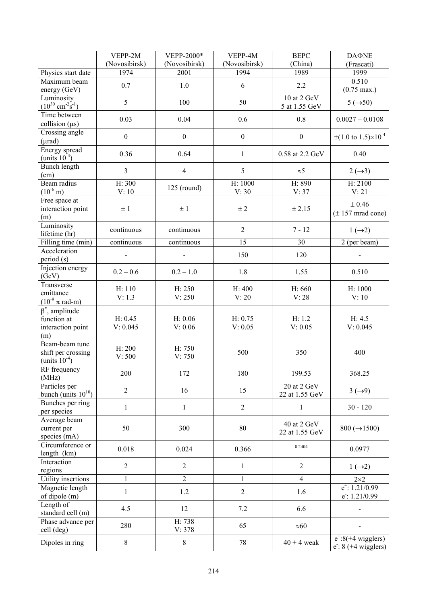|                                                                  | VEPP-2M             | VEPP-2000*         | VEPP-4M            | <b>BEPC</b>                   | <b>DAΦNE</b>                                       |
|------------------------------------------------------------------|---------------------|--------------------|--------------------|-------------------------------|----------------------------------------------------|
|                                                                  | (Novosibirsk)       | (Novosibirsk)      | (Novosibirsk)      | (China)                       | (Frascati)                                         |
| Physics start date                                               | 1974                | 2001               | 1994               | 1989                          | 1999                                               |
| Maximum beam                                                     | 0.7                 | 1.0                | 6                  | 2.2                           | 0.510                                              |
| energy (GeV)                                                     |                     |                    |                    |                               | $(0.75 \text{ max.})$                              |
| Luminosity<br>$(10^{30} \text{ cm}^{-2} \text{s}^{-1})$          | 5                   | 100                | 50                 | 10 at 2 GeV<br>5 at 1.55 GeV  | $5(\rightarrow 50)$                                |
| Time between<br>collision $(\mu s)$                              | 0.03                | 0.04               | 0.6                | 0.8                           | $0.0027 - 0.0108$                                  |
| Crossing angle<br>$(\mu rad)$                                    | $\boldsymbol{0}$    | $\boldsymbol{0}$   | $\boldsymbol{0}$   | $\boldsymbol{0}$              | $\pm (1.0 \text{ to } 1.5) \times 10^{-4}$         |
| Energy spread<br>(units $10^{-3}$ )                              | 0.36                | 0.64               | $\mathbf{1}$       | 0.58 at 2.2 GeV               | 0.40                                               |
| Bunch length<br>(cm)                                             | $\mathfrak{Z}$      | $\overline{4}$     | 5                  | $\approx 5$                   | $2 \rightarrow 3$                                  |
| Beam radius<br>$(10^{-6} \text{ m})$                             | H: 300<br>V:10      | $125$ (round)      | H: 1000<br>V: 30   | H: 890<br>V: 37               | H: 2100<br>V: 21                                   |
| Free space at<br>interaction point<br>(m)                        | ±1                  | ±1                 | ± 2                | ± 2.15                        | ± 0.46<br>$(\pm 157 \text{ mrad cone})$            |
| Luminosity<br>lifetime (hr)                                      | continuous          | continuous         | $\overline{2}$     | $7 - 12$                      | $1(\rightarrow 2)$                                 |
| Filling time (min)                                               | continuous          | continuous         | 15                 | 30                            | 2 (per beam)                                       |
| Acceleration<br>period (s)                                       |                     |                    | 150                | 120                           |                                                    |
| Injection energy<br>(GeV)                                        | $0.2 - 0.6$         | $0.2 - 1.0$        | 1.8                | 1.55                          | 0.510                                              |
| Transverse<br>emittance<br>$(10^{-9} \pi \text{ rad-m})$         | H: 110<br>V: 1.3    | H: 250<br>V: 250   | H: 400<br>V: 20    | H: 660<br>V: 28               | H: 1000<br>V:10                                    |
| $\beta^*$ , amplitude<br>function at<br>interaction point<br>(m) | H: 0.45<br>V: 0.045 | H: 0.06<br>V: 0.06 | H: 0.75<br>V: 0.05 | H: 1.2<br>V: 0.05             | H: 4.5<br>V: 0.045                                 |
| Beam-beam tune<br>shift per crossing<br>(units $10^{-4}$ )       | H: 200<br>V: 500    | H: 750<br>V: 750   | 500                | 350                           | 400                                                |
| RF frequency<br>(MHz)                                            | 200                 | 172                | 180                | 199.53                        | 368.25                                             |
| Particles per<br>bunch (units $10^{10}$ )                        | $\overline{2}$      | 16                 | 15                 | 20 at 2 GeV<br>22 at 1.55 GeV | $3(\rightarrow 9)$                                 |
| Bunches per ring<br>per species                                  | $\mathbf{1}$        | $\mathbf{1}$       | $\overline{2}$     | 1                             | $30 - 120$                                         |
| Average beam<br>current per<br>species (mA)                      | 50                  | 300                | 80                 | 40 at 2 GeV<br>22 at 1.55 GeV | $800 (\rightarrow 1500)$                           |
| Circumference or<br>length (km)                                  | 0.018               | 0.024              | 0.366              | 0.2404                        | 0.0977                                             |
| Interaction<br>regions                                           | $\overline{2}$      | $\overline{2}$     | $\mathbf{1}$       | $\overline{2}$                | $1(\rightarrow 2)$                                 |
| Utility insertions                                               | $\mathbf{1}$        | $\overline{2}$     | $\mathbf{1}$       | $\overline{4}$                | $2\times2$                                         |
| Magnetic length<br>of dipole (m)                                 | $\mathbf{1}$        | 1.2                | $\overline{2}$     | 1.6                           | $e^{\text{+}}$ : 1.21/0.99<br>$e$ : 1.21/0.99      |
| Length of<br>standard cell (m)                                   | 4.5                 | 12                 | 7.2                | 6.6                           |                                                    |
| Phase advance per<br>cell (deg)                                  | 280                 | H: 738<br>V: 378   | 65                 | $\approx 60$                  |                                                    |
| Dipoles in ring                                                  | $\,8\,$             | $8\,$              | 78                 | $40 + 4$ weak                 | $e^{\pm}$ :8(+4 wigglers)<br>$e$ : 8 (+4 wigglers) |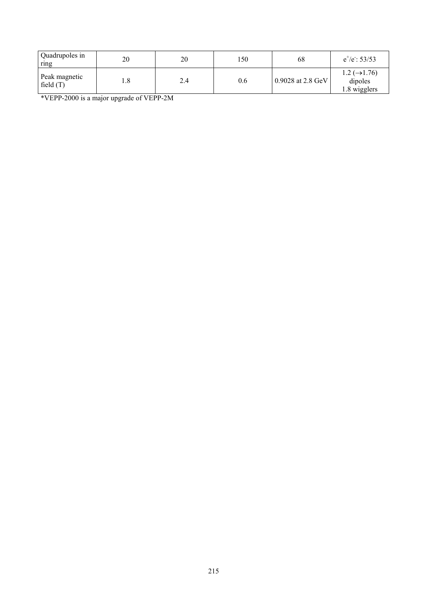| Quadrupoles in<br>ring       | 20 | 20  | l 50 | 68                  | $e^+/e$ : 53/53                                       |
|------------------------------|----|-----|------|---------------------|-------------------------------------------------------|
| Peak magnetic<br>field $(T)$ |    | 2.4 | 0.6  | $0.9028$ at 2.8 GeV | $1.2 \ (\rightarrow 1.76)$<br>dipoles<br>1.8 wigglers |

\*VEPP-2000 is a major upgrade of VEPP-2M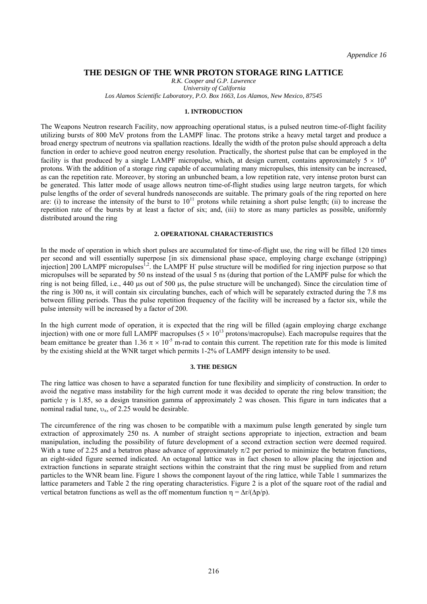# **THE DESIGN OF THE WNR PROTON STORAGE RING LATTICE**

*R.K. Cooper and G.P. Lawrence University of California Los Alamos Scientific Laboratory, P.O. Box 1663, Los Alamos, New Mexico, 87545* 

#### **1. INTRODUCTION**

The Weapons Neutron research Facility, now approaching operational status, is a pulsed neutron time-of-flight facility utilizing bursts of 800 MeV protons from the LAMPF linac. The protons strike a heavy metal target and produce a broad energy spectrum of neutrons via spallation reactions. Ideally the width of the proton pulse should approach a delta function in order to achieve good neutron energy resolution. Practically, the shortest pulse that can be employed in the facility is that produced by a single LAMPF micropulse, which, at design current, contains approximately  $5 \times 10^8$ protons. With the addition of a storage ring capable of accumulating many micropulses, this intensity can be increased, as can the repetition rate. Moreover, by storing an unbunched beam, a low repetition rate, very intense proton burst can be generated. This latter mode of usage allows neutron time-of-flight studies using large neutron targets, for which pulse lengths of the order of several hundreds nanoseconds are suitable. The primary goals of the ring reported on here are: (i) to increase the intensity of the burst to 10<sup>11</sup> protons while retaining a short pulse length; (ii) to increase the repetition rate of the bursts by at least a factor of six; and, (iii) to store as many particles as possible, uniformly distributed around the ring

#### **2. OPERATIONAL CHARACTERISTICS**

In the mode of operation in which short pulses are accumulated for time-of-flight use, the ring will be filled 120 times per second and will essentially superpose [in six dimensional phase space, employing charge exchange (stripping) injection] 200 LAMPF micropulses<sup>1,2</sup>. the LAMPF H<sup>-</sup> pulse structure will be modified for ring injection purpose so that micropulses will be separated by 50 ns instead of the usual 5 ns (during that portion of the LAMPF pulse for which the ring is not being filled, i.e., 440 µs out of 500 µs, the pulse structure will be unchanged). Since the circulation time of the ring is 300 ns, it will contain six circulating bunches, each of which will be separately extracted during the 7.8 ms between filling periods. Thus the pulse repetition frequency of the facility will be increased by a factor six, while the pulse intensity will be increased by a factor of 200.

In the high current mode of operation, it is expected that the ring will be filled (again employing charge exchange injection) with one or more full LAMPF macropulses ( $5 \times 10^{13}$  protons/macropulse). Each macropulse requires that the beam emittance be greater than 1.36  $\pi \times 10^{-5}$  m-rad to contain this current. The repetition rate for this mode is limited by the existing shield at the WNR target which permits 1-2% of LAMPF design intensity to be used.

#### **3. THE DESIGN**

The ring lattice was chosen to have a separated function for tune flexibility and simplicity of construction. In order to avoid the negative mass instability for the high current mode it was decided to operate the ring below transition; the particle  $\gamma$  is 1.85, so a design transition gamma of approximately 2 was chosen. This figure in turn indicates that a nominal radial tune,  $v_x$ , of 2.25 would be desirable.

The circumference of the ring was chosen to be compatible with a maximum pulse length generated by single turn extraction of approximately 250 ns. A number of straight sections appropriate to injection, extraction and beam manipulation, including the possibility of future development of a second extraction section were deemed required. With a tune of 2.25 and a betatron phase advance of approximately  $\pi/2$  per period to minimize the betatron functions, an eight-sided figure seemed indicated. An octagonal lattice was in fact chosen to allow placing the injection and extraction functions in separate straight sections within the constraint that the ring must be supplied from and return particles to the WNR beam line. Figure 1 shows the component layout of the ring lattice, while Table 1 summarizes the lattice parameters and Table 2 the ring operating characteristics. Figure 2 is a plot of the square root of the radial and vertical betatron functions as well as the off momentum function  $\eta = \Delta r/(\Delta p/p)$ .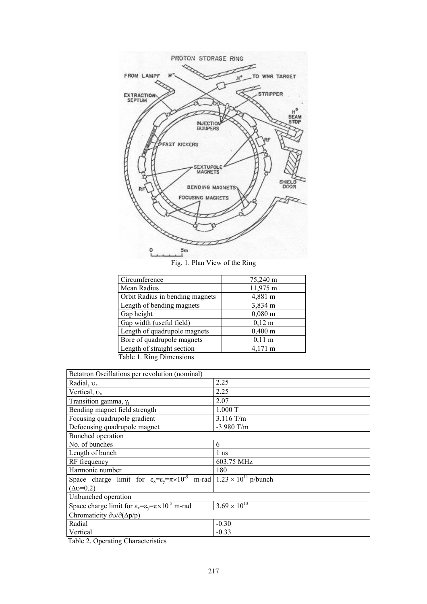

Fig. 1. Plan View of the Ring

| Circumference                   | 75,240 m              |
|---------------------------------|-----------------------|
| Mean Radius                     | 11,975 m              |
| Orbit Radius in bending magnets | 4,881 m               |
| Length of bending magnets       | 3,834 m               |
| Gap height                      | $0,080 \; \mathrm{m}$ |
| Gap width (useful field)        | $0,12 \; \rm{m}$      |
| Length of quadrupole magnets    | $0,400 \; \mathrm{m}$ |
| Bore of quadrupole magnets      | $0,11 \; \text{m}$    |
| Length of straight section      | $4,171 \text{ m}$     |
| Table 1. Ring Dimensions        |                       |

| Betatron Oscillations per revolution (nominal)                                                                  |                       |  |  |
|-----------------------------------------------------------------------------------------------------------------|-----------------------|--|--|
| Radial, $v_x$                                                                                                   | 2.25                  |  |  |
| Vertical, $v_v$                                                                                                 | 2.25                  |  |  |
| Transition gamma, $\gamma_t$                                                                                    | 2.07                  |  |  |
| Bending magnet field strength                                                                                   | 1.000T                |  |  |
| Focusing quadrupole gradient                                                                                    | $3.116$ T/m           |  |  |
| Defocusing quadrupole magnet                                                                                    | $-3.980$ T/m          |  |  |
| Bunched operation                                                                                               |                       |  |  |
| No. of bunches                                                                                                  | 6                     |  |  |
| Length of bunch                                                                                                 | 1 <sub>ns</sub>       |  |  |
| RF frequency                                                                                                    | 603.75 MHz            |  |  |
| Harmonic number                                                                                                 | 180                   |  |  |
| Space charge limit for $\varepsilon_x = \varepsilon_y = \pi \times 10^{-5}$ m-rad $1.23 \times 10^{11}$ p/bunch |                       |  |  |
| $(\Delta v=0.2)$                                                                                                |                       |  |  |
| Unbunched operation                                                                                             |                       |  |  |
| Space charge limit for $\varepsilon_x = \varepsilon_y = \pi \times 10^{-5}$ m-rad                               | $3.69 \times 10^{13}$ |  |  |
| Chromaticity $\partial v / \partial (\Delta p/p)$                                                               |                       |  |  |
| Radial                                                                                                          | $-0.30$               |  |  |
| Vertical                                                                                                        | $-0.33$               |  |  |

Table 2. Operating Characteristics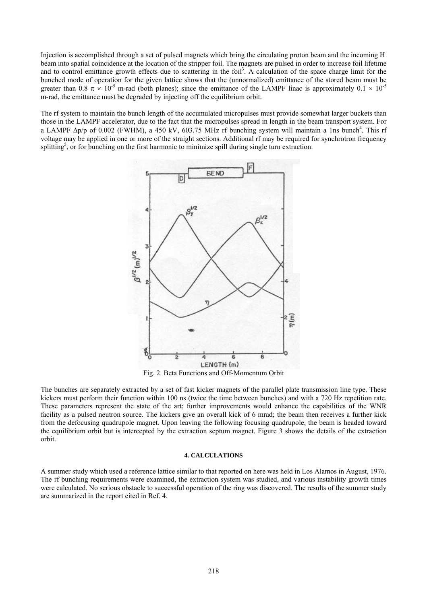Injection is accomplished through a set of pulsed magnets which bring the circulating proton beam and the incoming Hbeam into spatial coincidence at the location of the stripper foil. The magnets are pulsed in order to increase foil lifetime and to control emittance growth effects due to scattering in the foil<sup>3</sup>. A calculation of the space charge limit for the bunched mode of operation for the given lattice shows that the (unnormalized) emittance of the stored beam must be greater than 0.8  $\pi \times 10^{-5}$  m-rad (both planes); since the emittance of the LAMPF linac is approximately 0.1  $\times$  10<sup>-5</sup> m-rad, the emittance must be degraded by injecting off the equilibrium orbit.

The rf system to maintain the bunch length of the accumulated micropulses must provide somewhat larger buckets than those in the LAMPF accelerator, due to the fact that the micropulses spread in length in the beam transport system. For a LAMPF  $\Delta p/p$  of 0.002 (FWHM), a 450 kV, 603.75 MHz rf bunching system will maintain a 1ns bunch<sup>4</sup>. This rf voltage may be applied in one or more of the straight sections. Additional rf may be required for synchrotron frequency splitting<sup>5</sup>, or for bunching on the first harmonic to minimize spill during single turn extraction.



Fig. 2. Beta Functions and Off-Momentum Orbit

The bunches are separately extracted by a set of fast kicker magnets of the parallel plate transmission line type. These kickers must perform their function within 100 ns (twice the time between bunches) and with a 720 Hz repetition rate. These parameters represent the state of the art; further improvements would enhance the capabilities of the WNR facility as a pulsed neutron source. The kickers give an overall kick of 6 mrad; the beam then receives a further kick from the defocusing quadrupole magnet. Upon leaving the following focusing quadrupole, the beam is headed toward the equilibrium orbit but is intercepted by the extraction septum magnet. Figure 3 shows the details of the extraction orbit.

#### **4. CALCULATIONS**

A summer study which used a reference lattice similar to that reported on here was held in Los Alamos in August, 1976. The rf bunching requirements were examined, the extraction system was studied, and various instability growth times were calculated. No serious obstacle to successful operation of the ring was discovered. The results of the summer study are summarized in the report cited in Ref. 4.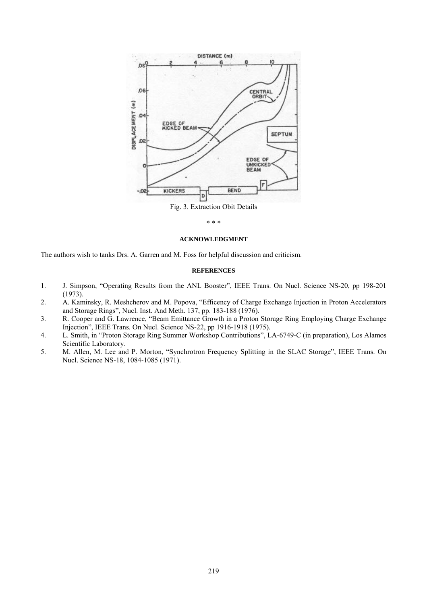

\* \* \*

#### **ACKNOWLEDGMENT**

The authors wish to tanks Drs. A. Garren and M. Foss for helpful discussion and criticism.

# **REFERENCES**

- 1. J. Simpson, "Operating Results from the ANL Booster", IEEE Trans. On Nucl. Science NS-20, pp 198-201 (1973).
- 2. A. Kaminsky, R. Meshcherov and M. Popova, "Efficency of Charge Exchange Injection in Proton Accelerators and Storage Rings", Nucl. Inst. And Meth. 137, pp. 183-188 (1976).
- 3. R. Cooper and G. Lawrence, "Beam Emittance Growth in a Proton Storage Ring Employing Charge Exchange Injectionî, IEEE Trans. On Nucl. Science NS-22, pp 1916-1918 (1975).
- 4. L. Smith, in "Proton Storage Ring Summer Workshop Contributions", LA-6749-C (in preparation), Los Alamos Scientific Laboratory.
- 5. M. Allen, M. Lee and P. Morton, "Synchrotron Frequency Splitting in the SLAC Storage", IEEE Trans. On Nucl. Science NS-18, 1084-1085 (1971).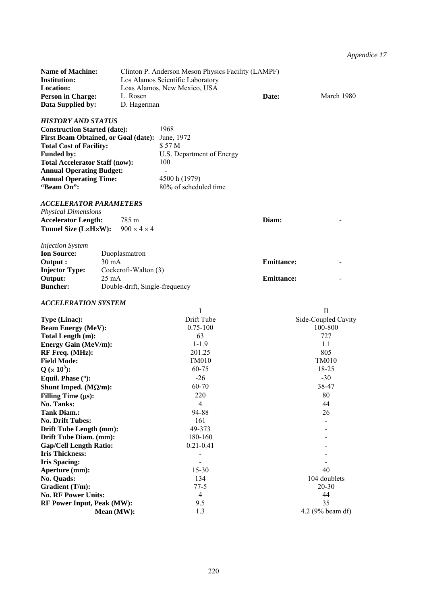*Appendice 17* 

| <b>Name of Machine:</b>  | Clinton P. Anderson Meson Physics Facility (LAMPF) |       |            |
|--------------------------|----------------------------------------------------|-------|------------|
| <b>Institution:</b>      | Los Alamos Scientific Laboratory                   |       |            |
| <b>Location:</b>         | Loas Alamos, New Mexico, USA                       |       |            |
| <b>Person in Charge:</b> | L. Rosen                                           | Date: | March 1980 |
| Data Supplied by:        | D. Hagerman                                        |       |            |

# *HISTORY AND STATUS*

| <b>Construction Started (date):</b>             | 1968                      |
|-------------------------------------------------|---------------------------|
| First Beam Obtained, or Goal (date): June, 1972 |                           |
| <b>Total Cost of Facility:</b>                  | \$57 M                    |
| <b>Funded by:</b>                               | U.S. Department of Energy |
| <b>Total Accelerator Staff (now):</b>           | 100                       |
| <b>Annual Operating Budget:</b>                 |                           |
| <b>Annual Operating Time:</b>                   | 4500 h (1979)             |
| "Beam On":                                      | 80% of scheduled time     |

#### *ACCELERATOR PARAMETERS*

| <b>Physical Dimensions</b>                          |       |       |  |
|-----------------------------------------------------|-------|-------|--|
| <b>Accelerator Length:</b>                          | 785 m | Diam: |  |
| <b>Tunnel Size (LxHxW):</b> $900 \times 4 \times 4$ |       |       |  |
| <i>Injection System</i>                             |       |       |  |

| <b>Ion Source:</b>    | Duoplasmatron                  |                   |   |
|-----------------------|--------------------------------|-------------------|---|
| Output :              | 30 mA                          | <b>Emittance:</b> | - |
| <b>Injector Type:</b> | Cockcroft-Walton (3)           |                   |   |
| Output:               | 25 mA                          | <b>Emittance:</b> | - |
| <b>Buncher:</b>       | Double-drift, Single-frequency |                   |   |

# *ACCELERATION SYSTEM*

|                                   |               | $\mathbf{I}$        |
|-----------------------------------|---------------|---------------------|
| Type (Linac):                     | Drift Tube    | Side-Coupled Cavity |
| <b>Beam Energy (MeV):</b>         | $0.75 - 100$  | 100-800             |
| Total Length (m):                 | 63            | 727                 |
| <b>Energy Gain (MeV/m):</b>       | $1 - 1.9$     | 11                  |
| RF Freq. (MHz):                   | 201.25        | 805                 |
| <b>Field Mode:</b>                | TM010         | <b>TM010</b>        |
| $Q (x 10^3)$ :                    | 60-75         | 18-25               |
| Equil. Phase $(°)$ :              | $-26$         | $-30$               |
| Shunt Imped. $(M\Omega/m)$ :      | 60-70         | 38-47               |
| Filling Time $(\mu s)$ :          | 220           | 80                  |
| No. Tanks:                        | 4             | 44                  |
| <b>Tank Diam.:</b>                | 94-88         | 26                  |
| <b>No. Drift Tubes:</b>           | 161           |                     |
| Drift Tube Length (mm):           | 49-373        |                     |
| Drift Tube Diam. (mm):            | 180-160       |                     |
| <b>Gap/Cell Length Ratio:</b>     | $0.21 - 0.41$ |                     |
| <b>Iris Thickness:</b>            |               |                     |
| <b>Iris Spacing:</b>              |               |                     |
| Aperture (mm):                    | $15 - 30$     | 40                  |
| No. Quads:                        | 134           | 104 doublets        |
| Gradient (T/m):                   | $77-5$        | $20 - 30$           |
| <b>No. RF Power Units:</b>        | 4             | 44                  |
| <b>RF Power Input, Peak (MW):</b> | 9.5           | 35                  |
| Mean (MW):                        | 1.3           | 4.2 (9% beam df)    |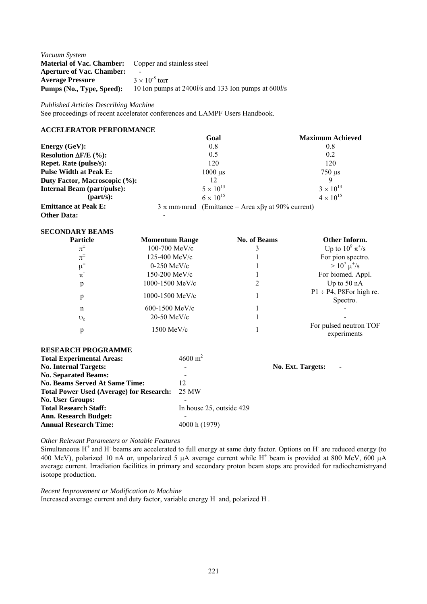| Vacuum System                    |                                                     |
|----------------------------------|-----------------------------------------------------|
| <b>Material of Vac. Chamber:</b> | Copper and stainless steel                          |
| <b>Aperture of Vac. Chamber:</b> |                                                     |
| <b>Average Pressure</b>          | $3 \times 10^{-8}$ torr                             |
| Pumps (No., Type, Speed):        | 10 Ion pumps at 2400l/s and 133 Ion pumps at 600l/s |

*Published Articles Describing Machine* 

See proceedings of recent accelerator conferences and LAMPF Users Handbook.

# **ACCELERATOR PERFORMANCE**

|                                    | Goal                                                              | <b>Maximum Achieved</b>   |
|------------------------------------|-------------------------------------------------------------------|---------------------------|
| Energy $(GeV)$ :                   | 0.8                                                               | 0.8                       |
| Resolution $\Delta F/E$ (%):       | 0.5                                                               | 0.2                       |
| <b>Repet. Rate (pulse/s):</b>      | 120                                                               | 120                       |
| <b>Pulse Width at Peak E:</b>      | $1000 \mu s$                                                      | $750 \text{ }\mu\text{s}$ |
| Duty Factor, Macroscopic (%):      | 12                                                                | $\Omega$                  |
| <b>Internal Beam (part/pulse):</b> | $5 \times 10^{13}$                                                | $3 \times 10^{13}$        |
| ${\rm (part/s)}$ :                 | $6 \times 10^{15}$                                                | $4 \times 10^{15}$        |
| <b>Emittance at Peak E:</b>        | $3 \pi$ mm·mrad (Emittance = Area x $\beta\gamma$ at 90% current) |                           |
| <b>Other Data:</b>                 |                                                                   |                           |

# **SECONDARY BEAMS**

| <b>Particle</b>    | <b>Momentum Range</b> | <b>No. of Beams</b> | Other Inform.                             |  |
|--------------------|-----------------------|---------------------|-------------------------------------------|--|
| $\pi^{\pm}$        | 100-700 MeV/c         |                     | Up to $10^{9} \pi^{+}/s$                  |  |
| $\pi^\pm$          | 125-400 MeV/c         |                     | For pion spectro.                         |  |
| $\mu^{\pm}$        | $0-250$ MeV/c         |                     | $> 10^7 \mu^{\text{*}}/s$                 |  |
| $\pi$ <sup>-</sup> | 150-200 MeV/c         |                     | For biomed. Appl.                         |  |
| p                  | 1000-1500 MeV/c       |                     | Up to $50$ nA                             |  |
| p                  | 1000-1500 MeV/c       |                     | $P1 \div P4$ , P8For high re.<br>Spectro. |  |
| n                  | $600 - 1500$ MeV/c    |                     |                                           |  |
| $v_{e}$            | $20-50$ MeV/c         |                     |                                           |  |
| p                  | $1500$ MeV/c          |                     | For pulsed neutron TOF<br>experiments     |  |

### **RESEARCH PROGRAMME**

| <b>Total Experimental Areas:</b>                | $4600 \text{ m}^2$       |                   |
|-------------------------------------------------|--------------------------|-------------------|
| <b>No. Internal Targets:</b>                    |                          | No. Ext. Targets: |
| <b>No. Separated Beams:</b>                     |                          |                   |
| <b>No. Beams Served At Same Time:</b>           | 12                       |                   |
| <b>Total Power Used (Average) for Research:</b> | 25 MW                    |                   |
| <b>No. User Groups:</b>                         |                          |                   |
| <b>Total Research Staff:</b>                    | In house 25, outside 429 |                   |
| <b>Ann. Research Budget:</b>                    |                          |                   |
| <b>Annual Research Time:</b>                    | 4000 h (1979)            |                   |

*Other Relevant Parameters or Notable Features* 

Simultaneous  $H^+$  and  $H^-$  beams are accelerated to full energy at same duty factor. Options on  $H^-$  are reduced energy (to 400 MeV), polarized 10 nA or, unpolarized 5  $\mu$ A average current while H<sup>+</sup> beam is provided at 800 MeV, 600  $\mu$ A average current. Irradiation facilities in primary and secondary proton beam stops are provided for radiochemistryand isotope production.

*Recent Improvement or Modification to Machine*  Increased average current and duty factor, variable energy H and, polarized H.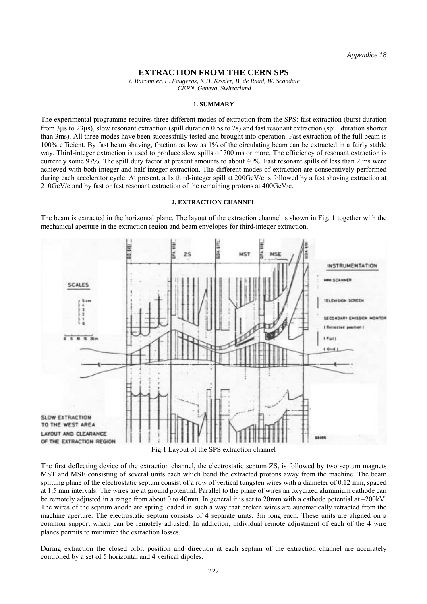### **EXTRACTION FROM THE CERN SPS**

*Y. Baconnier, P. Faugeras, K.H. Kissler, B. de Raad, W. Scandale CERN, Geneva, Switzerland* 

#### **1. SUMMARY**

The experimental programme requires three different modes of extraction from the SPS: fast extraction (burst duration from 3µs to 23µs), slow resonant extraction (spill duration 0.5s to 2s) and fast resonant extraction (spill duration shorter than 3ms). All three modes have been successfully tested and brought into operation. Fast extraction of the full beam is 100% efficient. By fast beam shaving, fraction as low as 1% of the circulating beam can be extracted in a fairly stable way. Third-integer extraction is used to produce slow spills of 700 ms or more. The efficiency of resonant extraction is currently some 97%. The spill duty factor at present amounts to about 40%. Fast resonant spills of less than 2 ms were achieved with both integer and half-integer extraction. The different modes of extraction are consecutively performed during each accelerator cycle. At present, a 1s third-integer spill at 200GeV/c is followed by a fast shaving extraction at 210GeV/c and by fast or fast resonant extraction of the remaining protons at 400GeV/c.

### **2. EXTRACTION CHANNEL**

The beam is extracted in the horizontal plane. The layout of the extraction channel is shown in Fig. 1 together with the mechanical aperture in the extraction region and beam envelopes for third-integer extraction.



Fig.1 Layout of the SPS extraction channel

The first deflecting device of the extraction channel, the electrostatic septum ZS, is followed by two septum magnets MST and MSE consisting of several units each which bend the extracted protons away from the machine. The beam splitting plane of the electrostatic septum consist of a row of vertical tungsten wires with a diameter of 0.12 mm, spaced at 1.5 mm intervals. The wires are at ground potential. Parallel to the plane of wires an oxydized aluminium cathode can be remotely adjusted in a range from about 0 to 40mm. In general it is set to 20mm with a cathode potential at  $-200kV$ . The wires of the septum anode are spring loaded in such a way that broken wires are automatically retracted from the machine aperture. The electrostatic septum consists of 4 separate units, 3m long each. These units are aligned on a common support which can be remotely adjusted. In addiction, individual remote adjustment of each of the 4 wire planes permits to minimize the extraction losses.

During extraction the closed orbit position and direction at each septum of the extraction channel are accurately controlled by a set of 5 horizontal and 4 vertical dipoles.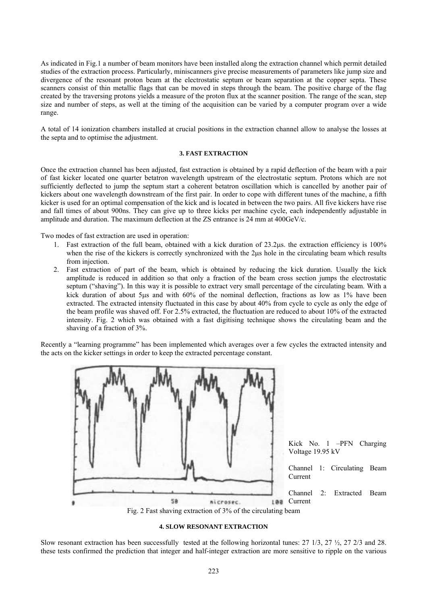As indicated in Fig.1 a number of beam monitors have been installed along the extraction channel which permit detailed studies of the extraction process. Particularly, miniscanners give precise measurements of parameters like jump size and divergence of the resonant proton beam at the electrostatic septum or beam separation at the copper septa. These scanners consist of thin metallic flags that can be moved in steps through the beam. The positive charge of the flag created by the traversing protons yields a measure of the proton flux at the scanner position. The range of the scan, step size and number of steps, as well at the timing of the acquisition can be varied by a computer program over a wide range.

A total of 14 ionization chambers installed at crucial positions in the extraction channel allow to analyse the losses at the septa and to optimise the adjustment.

### **3. FAST EXTRACTION**

Once the extraction channel has been adjusted, fast extraction is obtained by a rapid deflection of the beam with a pair of fast kicker located one quarter betatron wavelength upstream of the electrostatic septum. Protons which are not sufficiently deflected to jump the septum start a coherent betatron oscillation which is cancelled by another pair of kickers about one wavelength downstream of the first pair. In order to cope with different tunes of the machine, a fifth kicker is used for an optimal compensation of the kick and is located in between the two pairs. All five kickers have rise and fall times of about 900ns. They can give up to three kicks per machine cycle, each independently adjustable in amplitude and duration. The maximum deflection at the ZS entrance is 24 mm at 400GeV/c.

Two modes of fast extraction are used in operation:

- 1. Fast extraction of the full beam, obtained with a kick duration of 23.2µs. the extraction efficiency is 100% when the rise of the kickers is correctly synchronized with the 2 $\mu$ s hole in the circulating beam which results from injection.
- 2. Fast extraction of part of the beam, which is obtained by reducing the kick duration. Usually the kick amplitude is reduced in addition so that only a fraction of the beam cross section jumps the electrostatic septum ("shaving"). In this way it is possible to extract very small percentage of the circulating beam. With a kick duration of about 5µs and with 60% of the nominal deflection, fractions as low as 1% have been extracted. The extracted intensity fluctuated in this case by about 40% from cycle to cycle as only the edge of the beam profile was shaved off. For 2.5% extracted, the fluctuation are reduced to about 10% of the extracted intensity. Fig. 2 which was obtained with a fast digitising technique shows the circulating beam and the shaving of a fraction of 3%.

Recently a "learning programme" has been implemented which averages over a few cycles the extracted intensity and the acts on the kicker settings in order to keep the extracted percentage constant.



### **4. SLOW RESONANT EXTRACTION**

Slow resonant extraction has been successfully tested at the following horizontal tunes:  $27 \frac{1}{3}$ ,  $27 \frac{1}{3}$ ,  $27 \frac{1}{3}$ ,  $27 \frac{1}{3}$  and 28. these tests confirmed the prediction that integer and half-integer extraction are more sensitive to ripple on the various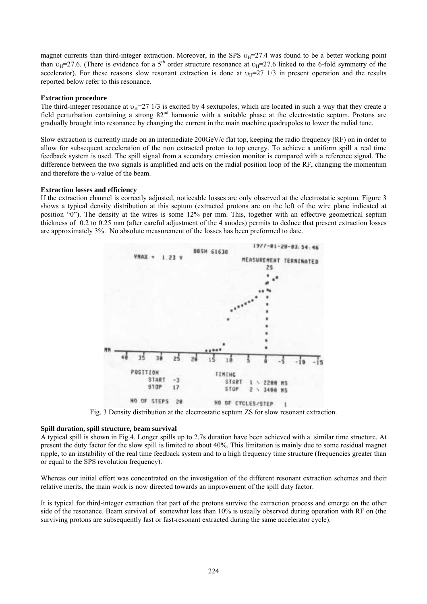magnet currents than third-integer extraction. Moreover, in the SPS  $v_H$ =27.4 was found to be a better working point than  $v_H$ =27.6. (There is evidence for a 5<sup>th</sup> order structure resonance at  $v_H$ =27.6 linked to the 6-fold symmetry of the accelerator). For these reasons slow resonant extraction is done at  $v_H=27$  1/3 in present operation and the results reported below refer to this resonance.

#### **Extraction procedure**

The third-integer resonance at  $v_H=27$  1/3 is excited by 4 sextupoles, which are located in such a way that they create a field perturbation containing a strong  $82<sup>nd</sup>$  harmonic with a suitable phase at the electrostatic septum. Protons are gradually brought into resonance by changing the current in the main machine quadrupoles to lower the radial tune.

Slow extraction is currently made on an intermediate 200GeV/c flat top, keeping the radio frequency (RF) on in order to allow for subsequent acceleration of the non extracted proton to top energy. To achieve a uniform spill a real time feedback system is used. The spill signal from a secondary emission monitor is compared with a reference signal. The difference between the two signals is amplified and acts on the radial position loop of the RF, changing the momentum and therefore the υ-value of the beam.

### **Extraction losses and efficiency**

If the extraction channel is correctly adjusted, noticeable losses are only observed at the electrostatic septum. Figure 3 shows a typical density distribution at this septum (extracted protons are on the left of the wire plane indicated at position  $\hat{O}$ . The density at the wires is some 12% per mm. This, together with an effective geometrical septum thickness of 0.2 to 0.25 mm (after careful adjustment of the 4 anodes) permits to deduce that present extraction losses are approximately 3%. No absolute measurement of the losses has been preformed to date.



Fig. 3 Density distribution at the electrostatic septum ZS for slow resonant extraction.

#### **Spill duration, spill structure, beam survival**

A typical spill is shown in Fig.4. Longer spills up to 2.7s duration have been achieved with a similar time structure. At present the duty factor for the slow spill is limited to about 40%. This limitation is mainly due to some residual magnet ripple, to an instability of the real time feedback system and to a high frequency time structure (frequencies greater than or equal to the SPS revolution frequency).

Whereas our initial effort was concentrated on the investigation of the different resonant extraction schemes and their relative merits, the main work is now directed towards an improvement of the spill duty factor.

It is typical for third-integer extraction that part of the protons survive the extraction process and emerge on the other side of the resonance. Beam survival of somewhat less than 10% is usually observed during operation with RF on (the surviving protons are subsequently fast or fast-resonant extracted during the same accelerator cycle).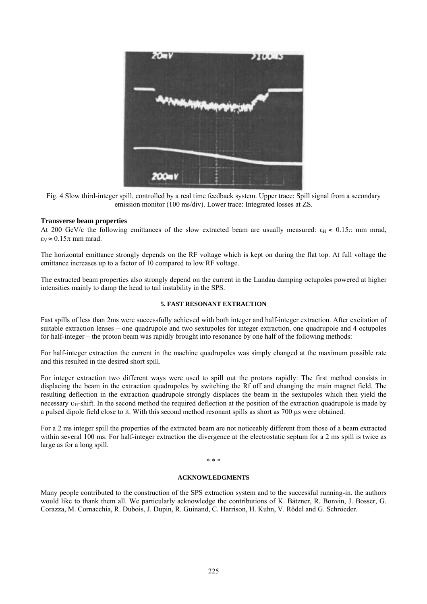

Fig. 4 Slow third-integer spill, controlled by a real time feedback system. Upper trace: Spill signal from a secondary emission monitor (100 ms/div). Lower trace: Integrated losses at ZS.

### **Transverse beam properties**

At 200 GeV/c the following emittances of the slow extracted beam are usually measured:  $\varepsilon_H \approx 0.15\pi$  mm mrad,  $\epsilon_V \approx 0.15\pi$  mm mrad.

The horizontal emittance strongly depends on the RF voltage which is kept on during the flat top. At full voltage the emittance increases up to a factor of 10 compared to low RF voltage.

The extracted beam properties also strongly depend on the current in the Landau damping octupoles powered at higher intensities mainly to damp the head to tail instability in the SPS.

### **5. FAST RESONANT EXTRACTION**

Fast spills of less than 2ms were successfully achieved with both integer and half-integer extraction. After excitation of suitable extraction lenses – one quadrupole and two sextupoles for integer extraction, one quadrupole and 4 octupoles for half-integer – the proton beam was rapidly brought into resonance by one half of the following methods:

For half-integer extraction the current in the machine quadrupoles was simply changed at the maximum possible rate and this resulted in the desired short spill.

For integer extraction two different ways were used to spill out the protons rapidly: The first method consists in displacing the beam in the extraction quadrupoles by switching the Rf off and changing the main magnet field. The resulting deflection in the extraction quadrupole strongly displaces the beam in the sextupoles which then yield the necessary  $v_H$ -shift. In the second method the required deflection at the position of the extraction quadrupole is made by a pulsed dipole field close to it. With this second method resonant spills as short as 700 us were obtained.

For a 2 ms integer spill the properties of the extracted beam are not noticeably different from those of a beam extracted within several 100 ms. For half-integer extraction the divergence at the electrostatic septum for a 2 ms spill is twice as large as for a long spill.

#### \* \* \*

#### **ACKNOWLEDGMENTS**

Many people contributed to the construction of the SPS extraction system and to the successful running-in. the authors would like to thank them all. We particularly acknowledge the contributions of K. Bätzner, R. Bonvin, J. Bosser, G. Corazza, M. Cornacchia, R. Dubois, J. Dupin, R. Guinand, C. Harrison, H. Kuhn, V. Rödel and G. Schröeder.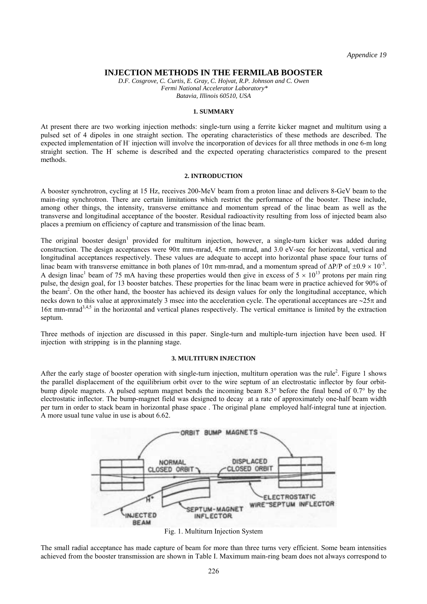### **INJECTION METHODS IN THE FERMILAB BOOSTER**

*D.F. Cosgrove, C. Curtis, E. Gray, C. Hojvat, R.P. Johnson and C. Owen Fermi National Accelerator Laboratory\* Batavia, Illinois 60510, USA* 

#### **1. SUMMARY**

At present there are two working injection methods: single-turn using a ferrite kicker magnet and multiturn using a pulsed set of 4 dipoles in one straight section. The operating characteristics of these methods are described. The expected implementation of H<sup>-</sup> injection will involve the incorporation of devices for all three methods in one 6-m long straight section. The H<sup>-</sup> scheme is described and the expected operating characteristics compared to the present methods.

#### **2. INTRODUCTION**

A booster synchrotron, cycling at 15 Hz, receives 200-MeV beam from a proton linac and delivers 8-GeV beam to the main-ring synchrotron. There are certain limitations which restrict the performance of the booster. These include, among other things, the intensity, transverse emittance and momentum spread of the linac beam as well as the transverse and longitudinal acceptance of the booster. Residual radioactivity resulting from loss of injected beam also places a premium on efficiency of capture and transmission of the linac beam.

The original booster design<sup>1</sup> provided for multiturn injection, however, a single-turn kicker was added during construction. The design acceptances were  $90\pi$  mm-mrad,  $45\pi$  mm-mrad, and 3.0 eV-sec for horizontal, vertical and longitudinal acceptances respectively. These values are adequate to accept into horizontal phase space four turns of linac beam with transverse emittance in both planes of  $10\pi$  mm-mrad, and a momentum spread of  $\Delta P/P$  of  $\pm 0.9 \times 10^{-3}$ . A design linac<sup>1</sup> beam of 75 mA having these properties would then give in excess of  $5 \times 10^{13}$  protons per main ring pulse, the design goal, for 13 booster batches. These properties for the linac beam were in practice achieved for 90% of the beam<sup>2</sup>. On the other hand, the booster has achieved its design values for only the longitudinal acceptance, which necks down to this value at approximately 3 msec into the acceleration cycle. The operational acceptances are ∼25π and  $16\pi$  mm-mrad<sup>3,4,5</sup> in the horizontal and vertical planes respectively. The vertical emittance is limited by the extraction septum.

Three methods of injection are discussed in this paper. Single-turn and multiple-turn injection have been used. Hinjection with stripping is in the planning stage.

#### **3. MULTITURN INJECTION**

After the early stage of booster operation with single-turn injection, multiturn operation was the rule<sup>2</sup>. Figure 1 shows the parallel displacement of the equilibrium orbit over to the wire septum of an electrostatic inflector by four orbitbump dipole magnets. A pulsed septum magnet bends the incoming beam 8.3° before the final bend of 0.7° by the electrostatic inflector. The bump-magnet field was designed to decay at a rate of approximately one-half beam width per turn in order to stack beam in horizontal phase space . The original plane employed half-integral tune at injection. A more usual tune value in use is about 6.62.



Fig. 1. Multiturn Injection System

The small radial acceptance has made capture of beam for more than three turns very efficient. Some beam intensities achieved from the booster transmission are shown in Table I. Maximum main-ring beam does not always correspond to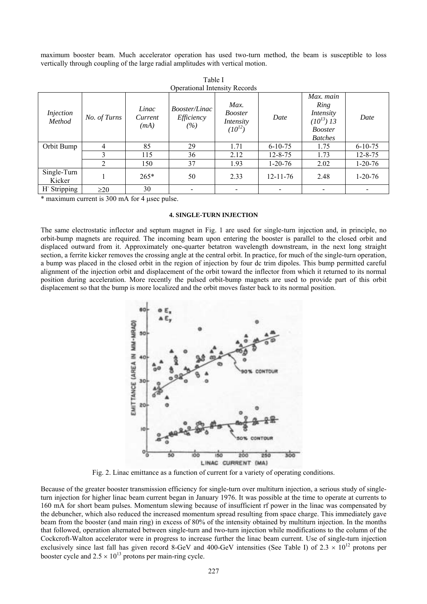maximum booster beam. Much accelerator operation has used two-turn method, the beam is susceptible to loss vertically through coupling of the large radial amplitudes with vertical motion.

| <b>Operational Intensity Records</b> |              |                          |                                           |                                                    |                |                                                                                                |               |
|--------------------------------------|--------------|--------------------------|-------------------------------------------|----------------------------------------------------|----------------|------------------------------------------------------------------------------------------------|---------------|
| <i>Injection</i><br>Method           | No. of Turns | Linac<br>Current<br>(mA) | <i>Booster/Linac</i><br>Efficiency<br>(%) | Max.<br><b>Booster</b><br>Intensity<br>$(10^{12})$ | Date           | Max. main<br>Ring<br>Intensity<br>$(10^{13})\overline{13}$<br><b>Booster</b><br><b>Batches</b> | Date          |
| Orbit Bump                           | 4            | 85                       | 29                                        | 1.71                                               | $6 - 10 - 75$  | 1.75                                                                                           | $6 - 10 - 75$ |
|                                      | 3            | 115                      | 36                                        | 2.12                                               | $12 - 8 - 75$  | 1.73                                                                                           | $12 - 8 - 75$ |
|                                      | 2            | 150                      | 37                                        | 1.93                                               | $1 - 20 - 76$  | 2.02                                                                                           | $1 - 20 - 76$ |
| Single-Turn<br>Kicker                |              | $265*$                   | 50                                        | 2.33                                               | $12 - 11 - 76$ | 2.48                                                                                           | $1 - 20 - 76$ |
| H Stripping                          | $\geq$ 20    | 30                       |                                           |                                                    |                |                                                                                                |               |

Table I

\* maximum current is 300 mA for 4 µsec pulse.

#### **4. SINGLE-TURN INJECTION**

The same electrostatic inflector and septum magnet in Fig. 1 are used for single-turn injection and, in principle, no orbit-bump magnets are required. The incoming beam upon entering the booster is parallel to the closed orbit and displaced outward from it. Approximately one-quarter betatron wavelength downstream, in the next long straight section, a ferrite kicker removes the crossing angle at the central orbit. In practice, for much of the single-turn operation, a bump was placed in the closed orbit in the region of injection by four dc trim dipoles. This bump permitted careful alignment of the injection orbit and displacement of the orbit toward the inflector from which it returned to its normal position during acceleration. More recently the pulsed orbit-bump magnets are used to provide part of this orbit displacement so that the bump is more localized and the orbit moves faster back to its normal position.



Fig. 2. Linac emittance as a function of current for a variety of operating conditions.

Because of the greater booster transmission efficiency for single-turn over multiturn injection, a serious study of singleturn injection for higher linac beam current began in January 1976. It was possible at the time to operate at currents to 160 mA for short beam pulses. Momentum slewing because of insufficient rf power in the linac was compensated by the debuncher, which also reduced the increased momentum spread resulting from space charge. This immediately gave beam from the booster (and main ring) in excess of 80% of the intensity obtained by multiturn injection. In the months that followed, operation alternated between single-turn and two-turn injection while modifications to the column of the Cockcroft-Walton accelerator were in progress to increase further the linac beam current. Use of single-turn injection exclusively since last fall has given record 8-GeV and 400-GeV intensities (See Table I) of  $2.3 \times 10^{12}$  protons per booster cycle and  $2.5 \times 10^{13}$  protons per main-ring cycle.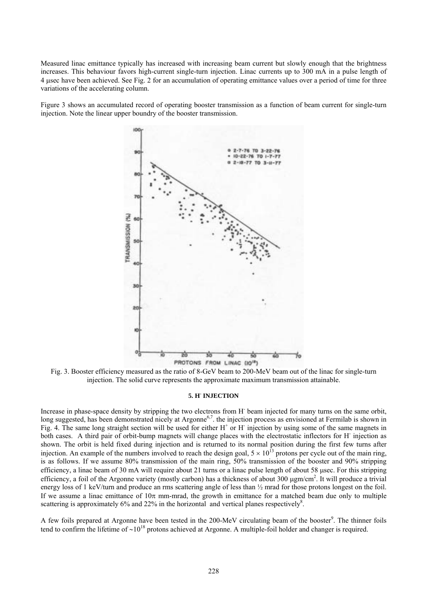Measured linac emittance typically has increased with increasing beam current but slowly enough that the brightness increases. This behaviour favors high-current single-turn injection. Linac currents up to 300 mA in a pulse length of 4 µsec have been achieved. See Fig. 2 for an accumulation of operating emittance values over a period of time for three variations of the accelerating column.

Figure 3 shows an accumulated record of operating booster transmission as a function of beam current for single-turn injection. Note the linear upper boundry of the booster transmission.



Fig. 3. Booster efficiency measured as the ratio of 8-GeV beam to 200-MeV beam out of the linac for single-turn injection. The solid curve represents the approximate maximum transmission attainable.

#### **5. H- INJECTION**

Increase in phase-space density by stripping the two electrons from H<sup>-</sup> beam injected for many turns on the same orbit, long suggested, has been demonstrated nicely at Argonne<sup>6,7</sup>, the injection process as envisioned at Fermilab is shown in Fig. 4. The same long straight section will be used for either  $H^+$  or  $H^-$  injection by using some of the same magnets in both cases. A third pair of orbit-bump magnets will change places with the electrostatic inflectors for H<sup>-</sup> injection as shown. The orbit is held fixed during injection and is returned to its normal position during the first few turns after injection. An example of the numbers involved to reach the design goal,  $5 \times 10^{13}$  protons per cycle out of the main ring, is as follows. If we assume 80% transmission of the main ring, 50% transmission of the booster and 90% stripping efficiency, a linac beam of 30 mA will require about 21 turns or a linac pulse length of about 58 µsec. For this stripping efficiency, a foil of the Argonne variety (mostly carbon) has a thickness of about 300  $\mu$ gm/cm<sup>2</sup>. It will produce a trivial energy loss of 1 keV/turn and produce an rms scattering angle of less than ½ mrad for those protons longest on the foil. If we assume a linac emittance of  $10\pi$  mm-mrad, the growth in emittance for a matched beam due only to multiple scattering is approximately 6% and 22% in the horizontal and vertical planes respectively<sup>8</sup>.

A few foils prepared at Argonne have been tested in the 200-MeV circulating beam of the booster<sup>9</sup>. The thinner foils tend to confirm the lifetime of ∼1018 protons achieved at Argonne. A multiple-foil holder and changer is required.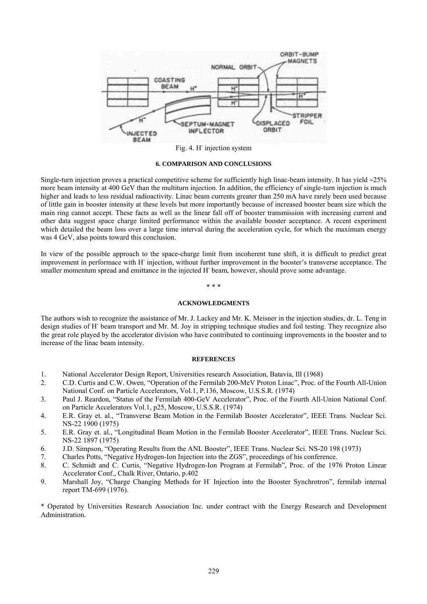

Fig. 4. H<sup>-</sup> injection system

#### **6. COMPARISON AND CONCLUSIONS**

Single-turn injection proves a practical competitive scheme for sufficiently high linac-beam intensity. It has yield ∼25% more beam intensity at 400 GeV than the multiturn injection. In addition, the efficiency of single-turn injection is much higher and leads to less residual radioactivity. Linac beam currents greater than 250 mA have rarely been used because of little gain in booster intensity at these levels but more importantly because of increased booster beam size which the main ring cannot accept. These facts as well as the linear fall off of booster transmission with increasing current and other data suggest space charge limited performance within the available booster acceptance. A recent experiment which detailed the beam loss over a large time interval during the acceleration cycle, for which the maximum energy was 4 GeV, also points toward this conclusion.

In view of the possible approach to the space-charge limit from incoherent tune shift, it is difficult to predict great improvement in performace with H<sup>-</sup> injection, without further improvement in the booster's transverse acceptance. The smaller momentum spread and emittance in the injected H<sup>-</sup> beam, however, should prove some advantage.

#### \* \* \*

#### **ACKNOWLEDGMENTS**

The authors wish to recognize the assistance of Mr. J. Lackey and Mr. K. Meisner in the injection studies, dr. L. Teng in design studies of H- beam transport and Mr. M. Joy in stripping technique studies and foil testing. They recognize also the great role played by the accelerator division who have contributed to continuing improvements in the booster and to increase of the linac beam intensity.

### **REFERENCES**

- 1. National Accelerator Design Report, Universities research Association, Batavia, Ill (1968)
- 2. C.D. Curtis and C.W. Owen, "Operation of the Fermilab 200-MeV Proton Linac", Proc. of the Fourth All-Union National Conf. on Particle Accelerators, Vol.1, P.136, Moscow, U.S.S.R. (1974)
- 3. Paul J. Reardon, "Status of the Fermilab 400-GeV Accelerator", Proc. of the Fourth All-Union National Conf. on Particle Accelerators Vol.1, p25, Moscow, U.S.S.R. (1974)
- 4. E.R. Gray et. al., "Transverse Beam Motion in the Fermilab Booster Accelerator", IEEE Trans. Nuclear Sci. NS-22 1900 (1975)
- 5. E.R. Gray et. al., "Longitudinal Beam Motion in the Fermilab Booster Accelerator", IEEE Trans. Nuclear Sci. NS-22 1897 (1975)
- 6. J.D. Simpson, "Operating Results from the ANL Booster", IEEE Trans. Nuclear Sci. NS-20 198 (1973)
- 7. Charles Potts, "Negative Hydrogen-Ion Injection into the ZGS", proceedings of his conference.
- 8. C. Schmidt and C. Curtis, "Negative Hydrogen-Ion Program at Fermilab", Proc. of the 1976 Proton Linear Accelerator Conf., Chalk River, Ontario, p.402
- 9. Marshall Joy, "Charge Changing Methods for H<sup>-</sup> Injection into the Booster Synchrotron", fermilab internal report TM-699 (1976).

\* Operated by Universities Research Association Inc. under contract with the Energy Research and Development Administration.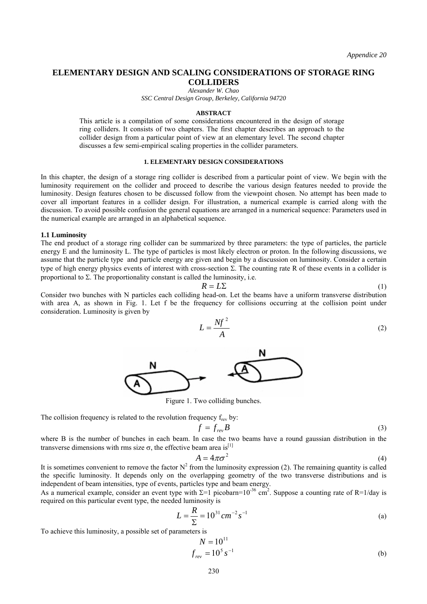# **ELEMENTARY DESIGN AND SCALING CONSIDERATIONS OF STORAGE RING COLLIDERS**

*Alexander W. Chao SSC Central Design Group, Berkeley, California 94720* 

#### **ABSTRACT**

This article is a compilation of some considerations encountered in the design of storage ring colliders. It consists of two chapters. The first chapter describes an approach to the collider design from a particular point of view at an elementary level. The second chapter discusses a few semi-empirical scaling properties in the collider parameters.

### **1. ELEMENTARY DESIGN CONSIDERATIONS**

In this chapter, the design of a storage ring collider is described from a particular point of view. We begin with the luminosity requirement on the collider and proceed to describe the various design features needed to provide the luminosity. Design features chosen to be discussed follow from the viewpoint chosen. No attempt has been made to cover all important features in a collider design. For illustration, a numerical example is carried along with the discussion. To avoid possible confusion the general equations are arranged in a numerical sequence: Parameters used in the numerical example are arranged in an alphabetical sequence.

#### **1.1 Luminosity**

The end product of a storage ring collider can be summarized by three parameters: the type of particles, the particle energy E and the luminosity L. The type of particles is most likely electron or proton. In the following discussions, we assume that the particle type and particle energy are given and begin by a discussion on luminosity. Consider a certain type of high energy physics events of interest with cross-section Σ. The counting rate R of these events in a collider is proportional to  $\Sigma$ . The proportionality constant is called the luminosity, i.e.

$$
R = L\Sigma
$$
 (1)

Consider two bunches with N particles each colliding head-on. Let the beams have a uniform transverse distribution with area A, as shown in Fig. 1. Let f be the frequency for collisions occurring at the collision point under consideration. Luminosity is given by

$$
L = \frac{Nf^2}{A}
$$
 (2)



Figure 1. Two colliding bunches.

The collision frequency is related to the revolution frequency  $f_{rev}$  by:

$$
f = f_{rev}B \tag{3}
$$

where B is the number of bunches in each beam. In case the two beams have a round gaussian distribution in the transverse dimensions with rms size  $\sigma$ , the effective beam area is<sup>[1]</sup>

$$
A = 4\pi\sigma^2 \tag{4}
$$

It is sometimes convenient to remove the factor  $N^2$  from the luminosity expression (2). The remaining quantity is called the specific luminosity. It depends only on the overlapping geometry of the two transverse distributions and is independent of beam intensities, type of events, particles type and beam energy.

As a numerical example, consider an event type with  $\Sigma$ =1 picobarn=10<sup>-36</sup> cm<sup>2</sup>. Suppose a counting rate of R=1/day is required on this particular event type, the needed luminosity is

$$
L = \frac{R}{\Sigma} = 10^{31} \, \text{cm}^{-2} \, \text{s}^{-1} \tag{a}
$$

To achieve this luminosity, a possible set of parameters is

$$
N = 10^{11}
$$
  

$$
f_{rev} = 10^5 s^{-1}
$$
 (b)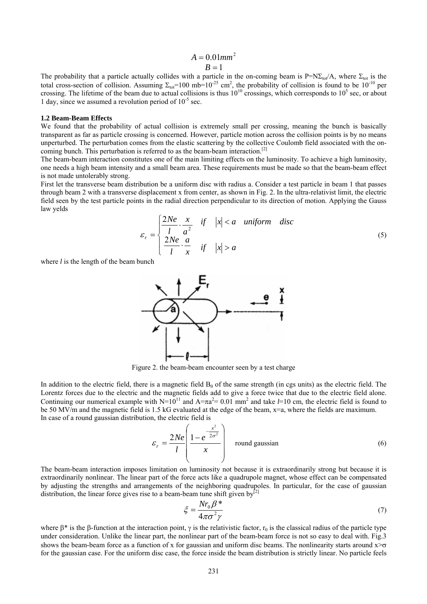# $A = 0.01$ <sub>*mm*<sup>2</sup></sub>  $B=1$

The probability that a particle actually collides with a particle in the on-coming beam is  $P=N\Sigma_{tot}/A$ , where  $\Sigma_{tot}$  is the total cross-section of collision. Assuming  $\Sigma_{\text{tot}}=100$  mb=10<sup>-25</sup> cm<sup>2</sup>, the probability of collision is found to be 10<sup>-10</sup> per crossing. The lifetime of the beam due to actual collisions is thus  $10^{10}$  crossings, which corresponds to  $10^5$  sec, or about 1 day, since we assumed a revolution period of  $10^{-5}$  sec.

#### **1.2 Beam-Beam Effects**

We found that the probability of actual collision is extremely small per crossing, meaning the bunch is basically transparent as far as particle crossing is concerned. However, particle motion across the collision points is by no means unperturbed. The perturbation comes from the elastic scattering by the collective Coulomb field associated with the oncoming bunch. This perturbation is referred to as the beam-beam interaction.<sup>[2]</sup>

The beam-beam interaction constitutes one of the main limiting effects on the luminosity. To achieve a high luminosity, one needs a high beam intensity and a small beam area. These requirements must be made so that the beam-beam effect is not made untolerably strong.

First let the transverse beam distribution be a uniform disc with radius a. Consider a test particle in beam 1 that passes through beam 2 with a transverse displacement x from center, as shown in Fig. 2. In the ultra-relativist limit, the electric field seen by the test particle points in the radial direction perpendicular to its direction of motion. Applying the Gauss law yelds

$$
\varepsilon_r = \begin{cases}\n\frac{2Ne}{l} \cdot \frac{x}{a^2} & \text{if } |x| < a \text{ uniform disc} \\
\frac{2Ne}{l} \cdot \frac{a}{x} & \text{if } |x| > a\n\end{cases}
$$
\n(5)

where *l* is the length of the beam bunch



Figure 2. the beam-beam encounter seen by a test charge

In addition to the electric field, there is a magnetic field  $B<sub>θ</sub>$  of the same strength (in cgs units) as the electric field. The Lorentz forces due to the electric and the magnetic fields add to give a force twice that due to the electric field alone. Continuing our numerical example with  $N=10^{11}$  and  $A=\pi a^2=0.01$  mm<sup>2</sup> and take  $l=10$  cm, the electric field is found to be 50 MV/m and the magnetic field is 1.5 kG evaluated at the edge of the beam,  $x=a$ , where the fields are maximum. In case of a round gaussian distribution, the electric field is

$$
\varepsilon_r = \frac{2Ne}{l} \left( \frac{1 - e^{-\frac{x^2}{2\sigma^2}}}{x} \right) \text{ round gaussian}
$$
 (6)

The beam-beam interaction imposes limitation on luminosity not because it is extraordinarily strong but because it is extraordinarily nonlinear. The linear part of the force acts like a quadrupole magnet, whose effect can be compensated by adjusting the strengths and arrangements of the neighboring quadrupoles. In particular, for the case of gaussian distribution, the linear force gives rise to a beam-beam tune shift given by $[2]$ 

$$
\xi = \frac{Nr_0\beta^*}{4\pi\sigma^2\gamma}
$$
\n(7)

where  $\beta^*$  is the  $\beta$ -function at the interaction point,  $\gamma$  is the relativistic factor,  $r_0$  is the classical radius of the particle type under consideration. Unlike the linear part, the nonlinear part of the beam-beam force is not so easy to deal with. Fig.3 shows the beam-beam force as a function of x for gaussian and uniform disc beams. The nonlinearity starts around  $x \rightarrow \sigma$ for the gaussian case. For the uniform disc case, the force inside the beam distribution is strictly linear. No particle feels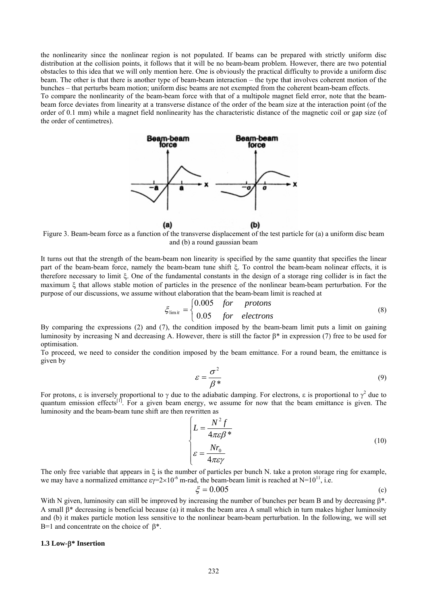the nonlinearity since the nonlinear region is not populated. If beams can be prepared with strictly uniform disc distribution at the collision points, it follows that it will be no beam-beam problem. However, there are two potential obstacles to this idea that we will only mention here. One is obviously the practical difficulty to provide a uniform disc beam. The other is that there is another type of beam-beam interaction  $-$  the type that involves coherent motion of the bunches – that perturbs beam motion; uniform disc beams are not exempted from the coherent beam-beam effects. To compare the nonlinearity of the beam-beam force with that of a multipole magnet field error, note that the beam-

beam force deviates from linearity at a transverse distance of the order of the beam size at the interaction point (of the order of 0.1 mm) while a magnet field nonlinearity has the characteristic distance of the magnetic coil or gap size (of the order of centimetres).



Figure 3. Beam-beam force as a function of the transverse displacement of the test particle for (a) a uniform disc beam and (b) a round gaussian beam

It turns out that the strength of the beam-beam non linearity is specified by the same quantity that specifies the linear part of the beam-beam force, namely the beam-beam tune shift ξ. To control the beam-beam nolinear effects, it is therefore necessary to limit ξ. One of the fundamental constants in the design of a storage ring collider is in fact the maximum ξ that allows stable motion of particles in the presence of the nonlinear beam-beam perturbation. For the purpose of our discussions, we assume without elaboration that the beam-beam limit is reached at

$$
\xi_{\text{limit}} = \begin{cases} 0.005 & \text{for} \quad \text{protons} \\ 0.05 & \text{for} \quad \text{electrons} \end{cases} \tag{8}
$$

By comparing the expressions (2) and (7), the condition imposed by the beam-beam limit puts a limit on gaining luminosity by increasing N and decreasing A. However, there is still the factor β\* in expression (7) free to be used for optimisation.

To proceed, we need to consider the condition imposed by the beam emittance. For a round beam, the emittance is given by

$$
\varepsilon = \frac{\sigma^2}{\beta^*} \tag{9}
$$

For protons, ε is inversely proportional to γ due to the adiabatic damping. For electrons, ε is proportional to  $\gamma^2$  due to quantum emission effects<sup>[1]</sup>. For a given beam energy, we assume for now that the beam emittance is given. The luminosity and the beam-beam tune shift are then rewritten as

$$
\begin{cases}\nL = \frac{N^2 f}{4\pi \varepsilon \beta^*} \\
\varepsilon = \frac{Nr_0}{4\pi \varepsilon \gamma}\n\end{cases}
$$
\n(10)

The only free variable that appears in ξ is the number of particles per bunch N. take a proton storage ring for example, we may have a normalized emittance  $\varepsilon y = 2 \times 10^{-6}$  m-rad, the beam-beam limit is reached at N=10<sup>11</sup>, i.e.

$$
\xi = 0.005\tag{c}
$$

With N given, luminosity can still be improved by increasing the number of bunches per beam B and by decreasing β\*. A small β\* decreasing is beneficial because (a) it makes the beam area A small which in turn makes higher luminosity and (b) it makes particle motion less sensitive to the nonlinear beam-beam perturbation. In the following, we will set B=1 and concentrate on the choice of  $\beta^*$ .

#### **1.3 Low-**β**\* Insertion**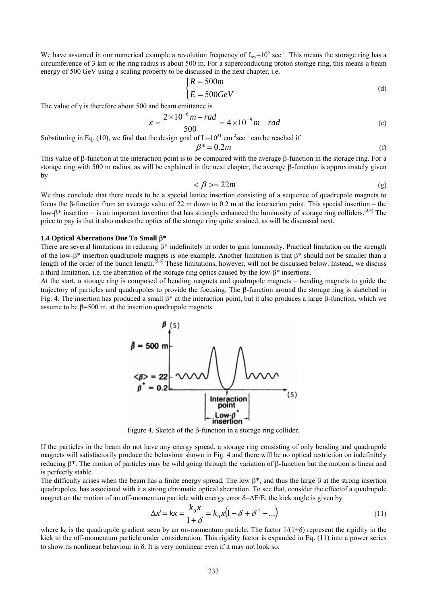We have assumed in our numerical example a revolution frequency of  $f_{rev}$ =10<sup>5</sup> sec<sup>-1</sup>. This means the storage ring has a circumference of 3 km or the ring radius is about 500 m. For a superconducting proton storage ring, this means a beam energy of 500 GeV using a scaling property to be discussed in the next chapter, i.e.

$$
\begin{cases}\nR = 500m \\
E = 500GeV\n\end{cases}
$$
\n(d)

The value of  $\gamma$  is therefore about 500 and beam emittance is

$$
\varepsilon = \frac{2 \times 10^{-6} \, m - rad}{500} = 4 \times 10^{-9} \, m - rad \tag{e}
$$

Substituting in Eq. (10), we find that the design goal of  $L=10^{31}$  cm<sup>-2</sup>sec<sup>-1</sup> can be reached if  $\beta^* = 0.2m$  (f)

This value of β-function at the interaction point is to be compared with the average β-function in the storage ring. For a storage ring with 500 m radius, as will be explained in the next chapter, the average β-function is approximately given by

$$
\langle \beta \rangle = 22m \tag{g}
$$

We thus conclude that there needs to be a special lattice insertion consisting of a sequence of quadrupole magnets to focus the β-function from an average value of 22 m down to 0.2 m at the interaction point. This special insertion – the low-β<sup>\*</sup> insertion – is an important invention that has strongly enhanced the luminosity of storage ring colliders.<sup>[3,4]</sup> The price to pay is that it also makes the optics of the storage ring quite strained, as will be discussed next.

#### **1.4 Optical Aberrations Due To Small** β**\***

There are several limitations in reducing β\* indefinitely in order to gain luminosity. Practical limitation on the strength of the low-β<sup>\*</sup> insertion quadrupole magnets is one example. Another limitation is that  $\beta^*$  should not be smaller than a length of the order of the bunch length.<sup>[5,6]</sup> These limitations, however, will not be discussed below. Instead, we discuss a third limitation, i.e. the aberration of the storage ring optics caused by the low-β\* insertions.

At the start, a storage ring is composed of bending magnets and quadrupole magnets – bending magnets to guide the trajectory of particles and quadrupoles to provide the focusing. The β-function around the storage ring is sketched in Fig. 4. The insertion has produced a small  $\beta^*$  at the interaction point, but it also produces a large  $\beta$ -function, which we assume to be  $\beta$ =500 m, at the insertion quadrupole magnets.



Figure 4. Sketch of the β-function in a storage ring collider.

If the particles in the beam do not have any energy spread, a storage ring consisting of only bending and quadrupole magnets will satisfactorily produce the behaviour shown in Fig. 4 and there will be no optical restriction on indefinitely reducing β\*. The motion of particles may be wild going through the variation of β-function but the motion is linear and is perfectly stable.

The difficulty arises when the beam has a finite energy spread. The low  $\beta^*$ , and thus the large  $\beta$  at the strong insertion quadrupoles, has associated with it a strong chromatic optical aberration. To see that, consider the effectof a quadrupole magnet on the motion of an off-momentum particle with energy error δ=∆E/E. the kick angle is given by

$$
\Delta x' = kx = \frac{k_0 x}{1 + \delta} = k_0 x (1 - \delta + \delta^2 - \ldots)
$$
\n(11)

where  $k_0$  is the quadrupole gradient seen by an on-momentum particle. The factor  $1/(1+\delta)$  represent the rigidity in the kick to the off-momentum particle under consideration. This rigidity factor is expanded in Eq. (11) into a power series to show its nonlinear behaviour in δ. It is very nonlinear even if it may not look so.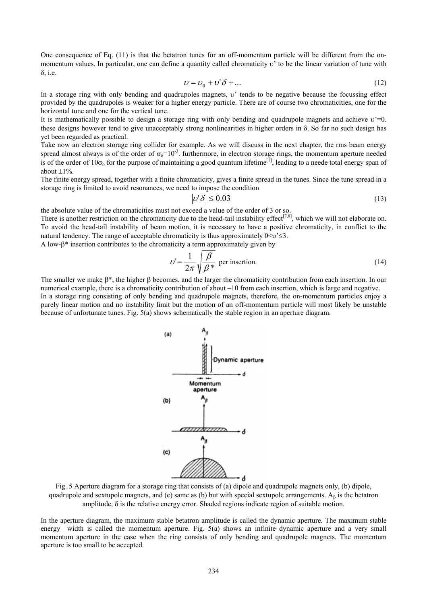One consequence of Eq. (11) is that the betatron tunes for an off-momentum particle will be different from the onmomentum values. In particular, one can define a quantity called chromaticity υ' to be the linear variation of tune with δ, i.e.

$$
v = v_0 + v'\delta + \dots \tag{12}
$$

In a storage ring with only bending and quadrupoles magnets, υ' tends to be negative because the focussing effect provided by the quadrupoles is weaker for a higher energy particle. There are of course two chromaticities, one for the horizontal tune and one for the vertical tune.

It is mathematically possible to design a storage ring with only bending and quadrupole magnets and achieve  $v=0$ . these designs however tend to give unacceptably strong nonlinearities in higher orders in δ. So far no such design has yet been regarded as practical.

Take now an electron storage ring collider for example. As we will discuss in the next chapter, the rms beam energy spread almost always is of the order of  $\sigma_{\delta}$ =10<sup>-3</sup>. furthermore, in electron storage rings, the momentum aperture needed is of the order of  $10\sigma_{\rm s}$  for the purpose of maintaining a good quantum lifetime<sup>[1]</sup>, leading to a neede total energy span of about  $\pm 1\%$ 

The finite energy spread, together with a finite chromaticity, gives a finite spread in the tunes. Since the tune spread in a storage ring is limited to avoid resonances, we need to impose the condition

$$
|\nu'\delta| \le 0.03\tag{13}
$$

the absolute value of the chromaticities must not exceed a value of the order of 3 or so.

There is another restriction on the chromaticity due to the head-tail instability effect<sup>[7,8]</sup>, which we will not elaborate on. To avoid the head-tail instability of beam motion, it is necessary to have a positive chromaticity, in conflict to the natural tendency. The range of acceptable chromaticity is thus approximately  $0 \le v \le 3$ .

A low-β\* insertion contributes to the chromaticity a term approximately given by

$$
\upsilon' = \frac{1}{2\pi} \sqrt{\frac{\beta}{\beta^*}}
$$
 per insertion. (14)

The smaller we make β\*, the higher β becomes, and the larger the chromaticity contribution from each insertion. In our numerical example, there is a chromaticity contribution of about  $-10$  from each insertion, which is large and negative. In a storage ring consisting of only bending and quadrupole magnets, therefore, the on-momentum particles enjoy a purely linear motion and no instability limit but the motion of an off-momentum particle will most likely be unstable because of unfortunate tunes. Fig. 5(a) shows schematically the stable region in an aperture diagram.





In the aperture diagram, the maximum stable betatron amplitude is called the dynamic aperture. The maximum stable energy width is called the momentum aperture. Fig.  $5(a)$  shows an infinite dynamic aperture and a very small momentum aperture in the case when the ring consists of only bending and quadrupole magnets. The momentum aperture is too small to be accepted.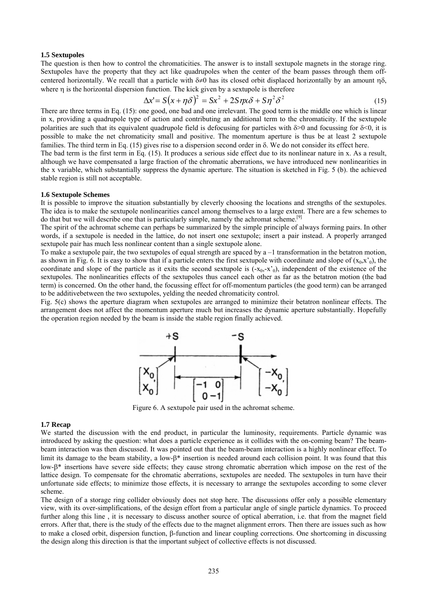### **1.5 Sextupoles**

The question is then how to control the chromaticities. The answer is to install sextupole magnets in the storage ring. Sextupoles have the property that they act like quadrupoles when the center of the beam passes through them offcentered horizontally. We recall that a particle with  $\delta \neq 0$  has its closed orbit displaced horizontally by an amount  $\eta \delta$ , where η is the horizontal dispersion function. The kick given by a sextupole is therefore

$$
\Delta x' = S(x + \eta \delta)^2 = Sx^2 + 2S\eta x \delta + S\eta^2 \delta^2
$$
\n(15)

There are three terms in Eq. (15): one good, one bad and one irrelevant. The good term is the middle one which is linear in x, providing a quadrupole type of action and contributing an additional term to the chromaticity. If the sextupole polarities are such that its equivalent quadrupole field is defocusing for particles with  $\delta$ >0 and focussing for  $\delta$ <0, it is possible to make the net chromaticity small and positive. The momentum aperture is thus be at least 2 sextupole families. The third term in Eq. (15) gives rise to a dispersion second order in δ. We do not consider its effect here.

The bad term is the first term in Eq. (15). It produces a serious side effect due to its nonlinear nature in x. As a result, although we have compensated a large fraction of the chromatic aberrations, we have introduced new nonlinearities in the x variable, which substantially suppress the dynamic aperture. The situation is sketched in Fig. 5 (b). the achieved stable region is still not acceptable.

### **1.6 Sextupole Schemes**

It is possible to improve the situation substantially by cleverly choosing the locations and strengths of the sextupoles. The idea is to make the sextupole nonlinearities cancel among themselves to a large extent. There are a few schemes to do that but we will describe one that is particularly simple, namely the achromat scheme.<sup>[9]</sup>

The spirit of the achromat scheme can perhaps be summarized by the simple principle of always forming pairs. In other words, if a sextupole is needed in the lattice, do not insert one sextupole; insert a pair instead. A properly arranged sextupole pair has much less nonlinear content than a single sextupole alone.

To make a sextupole pair, the two sextupoles of equal strength are spaced by  $a - 1$  transformation in the betatron motion, as shown in Fig. 6. It is easy to show that if a particle enters the first sextupole with coordinate and slope of  $(x_0, x_0)$ , the coordinate and slope of the particle as it exits the second sextupole is  $(-x_0, -x_0)$ , independent of the existence of the sextupoles. The nonlinearities effects of the sextupoles thus cancel each other as far as the betatron motion (the bad term) is concerned. On the other hand, the focussing effect for off-momentum particles (the good term) can be arranged to be additivebetween the two sextupoles, yelding the needed chromaticity control.

Fig. 5(c) shows the aperture diagram when sextupoles are arranged to minimize their betatron nonlinear effects. The arrangement does not affect the momentum aperture much but increases the dynamic aperture substantially. Hopefully the operation region needed by the beam is inside the stable region finally achieved.



Figure 6. A sextupole pair used in the achromat scheme.

#### **1.7 Recap**

We started the discussion with the end product, in particular the luminosity, requirements. Particle dynamic was introduced by asking the question: what does a particle experience as it collides with the on-coming beam? The beambeam interaction was then discussed. It was pointed out that the beam-beam interaction is a highly nonlinear effect. To limit its damage to the beam stability, a low-β\* insertion is needed around each collision point. It was found that this low-β\* insertions have severe side effects; they cause strong chromatic aberration which impose on the rest of the lattice design. To compensate for the chromatic aberrations, sextupoles are needed. The sextupoles in turn have their unfortunate side effects; to minimize those effects, it is necessary to arrange the sextupoles according to some clever scheme.

The design of a storage ring collider obviously does not stop here. The discussions offer only a possible elementary view, with its over-simplifications, of the design effort from a particular angle of single particle dynamics. To proceed further along this line, it is necessary to discuss another source of optical aberration, i.e. that from the magnet field errors. After that, there is the study of the effects due to the magnet alignment errors. Then there are issues such as how to make a closed orbit, dispersion function, β-function and linear coupling corrections. One shortcoming in discussing the design along this direction is that the important subject of collective effects is not discussed.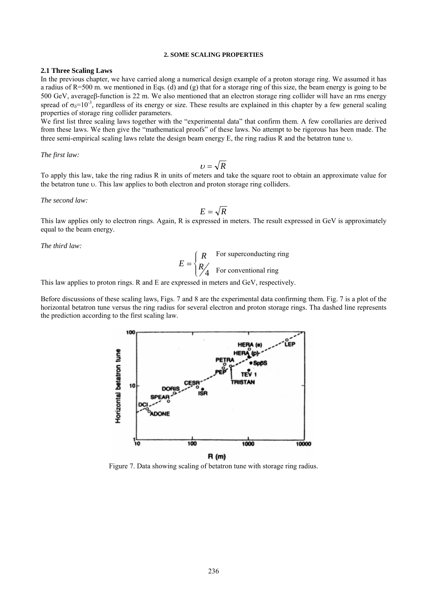#### **2. SOME SCALING PROPERTIES**

### **2.1 Three Scaling Laws**

In the previous chapter, we have carried along a numerical design example of a proton storage ring. We assumed it has a radius of R=500 m. we mentioned in Eqs. (d) and (g) that for a storage ring of this size, the beam energy is going to be 500 GeV, averageβ-function is 22 m. We also mentioned that an electron storage ring collider will have an rms energy spread of  $\sigma_{\delta}$ =10<sup>-3</sup>, regardless of its energy or size. These results are explained in this chapter by a few general scaling properties of storage ring collider parameters.

We first list three scaling laws together with the "experimental data" that confirm them. A few corollaries are derived from these laws. We then give the "mathematical proofs" of these laws. No attempt to be rigorous has been made. The three semi-empirical scaling laws relate the design beam energy E, the ring radius R and the betatron tune υ.

*The first law:* 

$$
U=\sqrt{R}
$$

To apply this law, take the ring radius R in units of meters and take the square root to obtain an approximate value for the betatron tune υ. This law applies to both electron and proton storage ring colliders.

*The second law:* 

$$
E=\sqrt{R}
$$

This law applies only to electron rings. Again, R is expressed in meters. The result expressed in GeV is approximately equal to the beam energy.

*The third law:* 

$$
E = \begin{cases} R & \text{For superconducting ring} \\ R & \text{For conventional ring} \end{cases}
$$

This law applies to proton rings. R and E are expressed in meters and GeV, respectively.

Before discussions of these scaling laws, Figs. 7 and 8 are the experimental data confirming them. Fig. 7 is a plot of the horizontal betatron tune versus the ring radius for several electron and proton storage rings. Tha dashed line represents the prediction according to the first scaling law.



Figure 7. Data showing scaling of betatron tune with storage ring radius.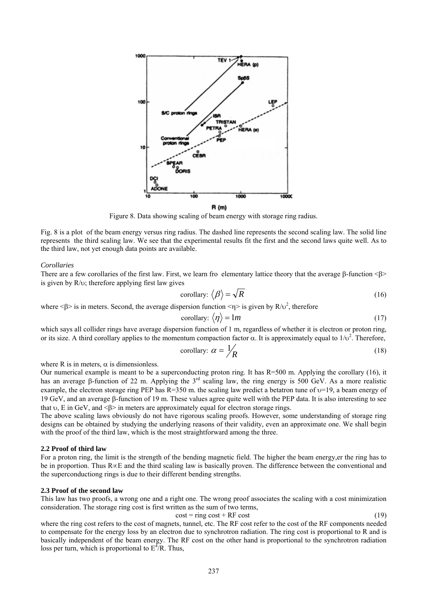

Figure 8. Data showing scaling of beam energy with storage ring radius.

Fig. 8 is a plot of the beam energy versus ring radius. The dashed line represents the second scaling law. The solid line represents the third scaling law. We see that the experimental results fit the first and the second laws quite well. As to the third law, not yet enough data points are available.

#### *Corollaries*

There are a few corollaries of the first law. First, we learn fro elementary lattice theory that the average β-function <β> is given by R/υ; therefore applying first law gives

$$
\text{corollary: } \langle \beta \rangle = \sqrt{R} \tag{16}
$$

where  $\langle \beta \rangle$  is in meters. Second, the average dispersion function  $\langle \eta \rangle$  is given by R/ $\nu^2$ , therefore

$$
\text{corollary: } \langle \eta \rangle = 1m \tag{17}
$$

which says all collider rings have average dispersion function of 1 m, regardless of whether it is electron or proton ring, or its size. A third corollary applies to the momentum compaction factor  $\alpha$ . It is approximately equal to  $1/\nu^2$ . Therefore,

$$
\text{corollary: } \alpha = \frac{1}{R} \tag{18}
$$

where R is in meters,  $\alpha$  is dimensionless.

Our numerical example is meant to be a superconducting proton ring. It has R=500 m. Applying the corollary (16), it has an average β-function of 22 m. Applying the 3<sup>rd</sup> scaling law, the ring energy is 500 GeV. As a more realistic example, the electron storage ring PEP has  $R=350$  m. the scaling law predict a betatron tune of  $\nu=19$ , a beam energy of 19 GeV, and an average β-function of 19 m. These values agree quite well with the PEP data. It is also interesting to see that  $\upsilon$ , E in GeV, and  $\leq \beta$  in meters are approximately equal for electron storage rings.

The above scaling laws obviously do not have rigorous scaling proofs. However, some understanding of storage ring designs can be obtained by studying the underlying reasons of their validity, even an approximate one. We shall begin with the proof of the third law, which is the most straightforward among the three.

#### **2.2 Proof of third law**

For a proton ring, the limit is the strength of the bending magnetic field. The higher the beam energy,er the ring has to be in proportion. Thus R∝E and the third scaling law is basically proven. The difference between the conventional and the superconductiong rings is due to their different bending strengths.

#### **2.3 Proof of the second law**

This law has two proofs, a wrong one and a right one. The wrong proof associates the scaling with a cost minimization consideration. The storage ring cost is first written as the sum of two terms,

$$
cost = ring cost + RF cost \tag{19}
$$

where the ring cost refers to the cost of magnets, tunnel, etc. The RF cost refer to the cost of the RF components needed to compensate for the energy loss by an electron due to synchrotron radiation. The ring cost is proportional to R and is basically independent of the beam energy. The RF cost on the other hand is proportional to the synchrotron radiation loss per turn, which is proportional to  $E^{4}/R$ . Thus,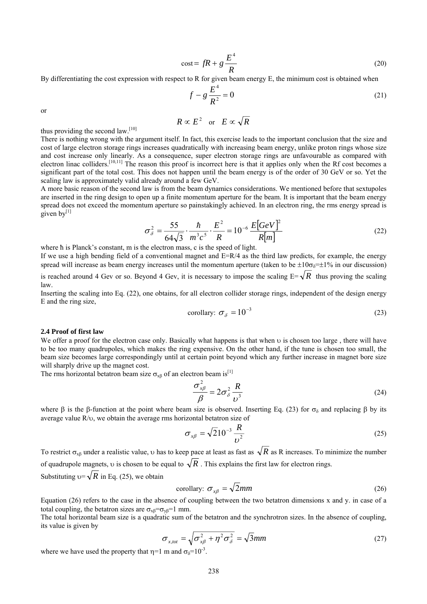$$
\cos t = fR + g \frac{E^4}{R}
$$
 (20)

By differentiating the cost expression with respect to R for given beam energy E, the minimum cost is obtained when

$$
f - g \frac{E^4}{R^2} = 0
$$
 (21)

or

$$
R \propto E^2 \quad \text{or} \quad E \propto \sqrt{R}
$$

thus providing the second law. $[10]$ 

There is nothing wrong with the argument itself. In fact, this exercise leads to the important conclusion that the size and cost of large electron storage rings increases quadratically with increasing beam energy, unlike proton rings whose size and cost increase only linearly. As a consequence, super electron storage rings are unfavourable as compared with electron linac colliders.<sup>[10,11]</sup> The reason this proof is incorrect here is that it applies only when the Rf cost becomes a significant part of the total cost. This does not happen until the beam energy is of the order of 30 GeV or so. Yet the scaling law is approximately valid already around a few GeV.

A more basic reason of the second law is from the beam dynamics considerations. We mentioned before that sextupoles are inserted in the ring design to open up a finite momentum aperture for the beam. It is important that the beam energy spread does not exceed the momentum aperture so painstakingly achieved. In an electron ring, the rms energy spread is given  $bv^{[1]}$ 

$$
\sigma_{\delta}^{2} = \frac{55}{64\sqrt{3}} \cdot \frac{\hbar}{m^{3}c^{5}} \cdot \frac{E^{2}}{R} = 10^{-6} \frac{E[GeV]^{2}}{R[m]}
$$
 (22)

where h is Planck's constant, m is the electron mass, c is the speed of light.

If we use a high bending field of a conventional magnet and  $E=R/4$  as the third law predicts, for example, the energy spread will increase as beam energy increases until the momentum aperture (taken to be  $\pm 10\sigma_8 = \pm 1\%$  in our discussion) is reached around 4 Gev or so. Beyond 4 Gev, it is necessary to impose the scaling  $E = \sqrt{R}$  thus proving the scaling law.

Inserting the scaling into Eq. (22), one obtains, for all electron collider storage rings, independent of the design energy E and the ring size,

$$
\text{corollary: } \sigma_{\delta} = 10^{-3} \tag{23}
$$

#### **2.4 Proof of first law**

We offer a proof for the electron case only. Basically what happens is that when υ is chosen too large , there will have to be too many quadrupoles, which makes the ring expensive. On the other hand, if the tune is chosen too small, the beam size becomes large correspondingly until at certain point beyond which any further increase in magnet bore size will sharply drive up the magnet cost.

The rms horizontal betatron beam size  $\sigma_{xB}$  of an electron beam is<sup>[1]</sup>

$$
\frac{\sigma_{x\beta}^2}{\beta} = 2\sigma_{\delta}^2 \frac{R}{\nu^3}
$$
 (24)

where β is the β-function at the point where beam size is observed. Inserting Eq. (23) for  $\sigma_{\delta}$  and replacing β by its average value R/υ, we obtain the average rms horizontal betatron size of

$$
\sigma_{x\beta} = \sqrt{2}10^{-3} \frac{R}{\nu^2}
$$
 (25)

To restrict  $\sigma_{\rm rB}$  under a realistic value, v has to keep pace at least as fast as  $\sqrt{R}$  as R increases. To minimize the number of quadrupole magnets, v is chosen to be equal to  $\sqrt{R}$ . This explains the first law for electron rings.

Substituting  $v = \sqrt{R}$  in Eq. (25), we obtain

$$
\text{corollary: } \sigma_{x\beta} = \sqrt{2} \, \text{mm} \tag{26}
$$

Equation (26) refers to the case in the absence of coupling between the two betatron dimensions x and y. in case of a total coupling, the betatron sizes are  $\sigma_{\rm xB} = \sigma_{\rm yB} = 1$  mm.

The total horizontal beam size is a quadratic sum of the betatron and the synchrotron sizes. In the absence of coupling, its value is given by

$$
\sigma_{x, tot} = \sqrt{\sigma_{x\beta}^2 + \eta^2 \sigma_{\delta}^2} = \sqrt{3}mm
$$
\n(27)

where we have used the property that  $\eta=1$  m and  $\sigma_{\delta}=10^{-3}$ .